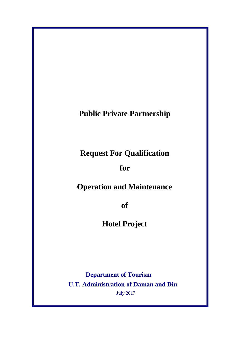# **Public Private Partnership**

**Request For Qualification**

**for**

# **Operation and Maintenance**

**of** 

**Hotel Project**

**Department of Tourism U.T. Administration of Daman and Diu**

July 2017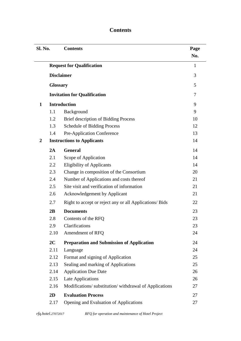## **Contents**

| Sl. No.        |                   | <b>Contents</b>                                         | Page         |
|----------------|-------------------|---------------------------------------------------------|--------------|
|                |                   |                                                         | No.          |
|                |                   | <b>Request for Qualification</b>                        | $\mathbf{1}$ |
|                | <b>Disclaimer</b> |                                                         | 3            |
|                | <b>Glossary</b>   |                                                         | 5            |
|                |                   | <b>Invitation for Qualification</b>                     | 7            |
| $\mathbf 1$    |                   | <b>Introduction</b>                                     | 9            |
|                | 1.1               | Background                                              | 9            |
|                | 1.2               | <b>Brief description of Bidding Process</b>             | 10           |
|                | 1.3               | <b>Schedule of Bidding Process</b>                      | 12           |
|                | 1.4               | Pre-Application Conference                              | 13           |
| $\overline{2}$ |                   | <b>Instructions to Applicants</b>                       | 14           |
|                | 2A                | <b>General</b>                                          | 14           |
|                | 2.1               | Scope of Application                                    | 14           |
|                | 2.2               | <b>Eligibility of Applicants</b>                        | 14           |
|                | 2.3               | Change in composition of the Consortium                 | 20           |
|                | 2.4               | Number of Applications and costs thereof                | 21           |
|                | 2.5               | Site visit and verification of information              | 21           |
|                | 2.6               | <b>Acknowledgement by Applicant</b>                     | 21           |
|                | 2.7               | Right to accept or reject any or all Applications/ Bids | 22           |
|                | 2B                | <b>Documents</b>                                        | 23           |
|                | 2.8               | Contents of the RFQ                                     | 23           |
|                | 2.9               | Clarifications                                          | 23           |
|                | 2.10              | Amendment of RFQ                                        | 24           |
|                | 2C                | <b>Preparation and Submission of Application</b>        | 24           |
|                | 2.11              | Language                                                | 24           |
|                | 2.12              | Format and signing of Application                       | 25           |
|                | 2.13              | Sealing and marking of Applications                     | 25           |
|                | 2.14              | <b>Application Due Date</b>                             | 26           |
|                | 2.15              | Late Applications                                       | 26           |
|                | 2.16              | Modifications/substitution/withdrawal of Applications   | 27           |
|                | 2D                | <b>Evaluation Process</b>                               | 27           |
|                | 2.17              | Opening and Evaluation of Applications                  | 27           |

*rfq.hotel.27072017 RFQ for operation and maintenance of Hotel Project*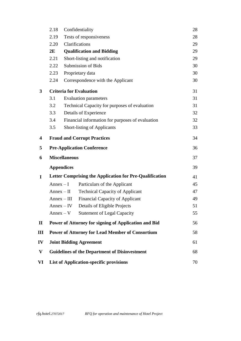|              | 2.18          | Confidentiality                                         | 28 |
|--------------|---------------|---------------------------------------------------------|----|
|              | 2.19          | Tests of responsiveness                                 | 28 |
|              | 2.20          | Clarifications                                          | 29 |
|              | 2E            | <b>Qualification and Bidding</b>                        | 29 |
|              | 2.21          | Short-listing and notification                          | 29 |
|              | 2.22          | <b>Submission of Bids</b>                               | 30 |
|              | 2.23          | Proprietary data                                        | 30 |
|              | 2.24          | Correspondence with the Applicant                       | 30 |
| 3            |               | <b>Criteria for Evaluation</b>                          | 31 |
|              | 3.1           | <b>Evaluation parameters</b>                            | 31 |
|              | 3.2           | Technical Capacity for purposes of evaluation           | 31 |
|              | 3.3           | Details of Experience                                   | 32 |
|              | 3.4           | Financial information for purposes of evaluation        | 32 |
|              | 3.5           | <b>Short-listing of Applicants</b>                      | 33 |
| 4            |               | <b>Fraud and Corrupt Practices</b>                      | 34 |
| 5            |               | <b>Pre-Application Conference</b>                       | 36 |
| 6            |               | <b>Miscellaneous</b>                                    | 37 |
|              |               | <b>Appendices</b>                                       | 39 |
| I            |               | Letter Comprising the Application for Pre-Qualification | 41 |
|              | $Annex-I$     | Particulars of the Applicant                            | 45 |
|              | $Annex-II$    | <b>Technical Capacity of Applicant</b>                  | 47 |
|              | $Annex - III$ | <b>Financial Capacity of Applicant</b>                  | 49 |
|              | $Annex - IV$  | Details of Eligible Projects                            | 51 |
|              |               | $Annex - V$ Statement of Legal Capacity                 | 55 |
| $\mathbf{I}$ |               | Power of Attorney for signing of Application and Bid    | 56 |
| Ш            |               | <b>Power of Attorney for Lead Member of Consortium</b>  | 58 |
| IV           |               | <b>Joint Bidding Agreement</b>                          | 61 |
| $\mathbf{V}$ |               | <b>Guidelines of the Department of Disinvestment</b>    | 68 |
| VI           |               | <b>List of Application-specific provisions</b>          | 70 |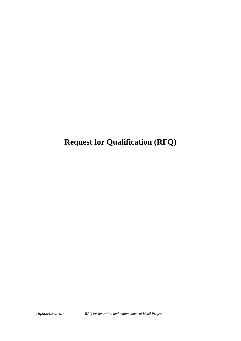**Request for Qualification (RFQ)**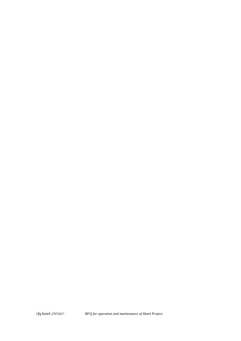*rfq.hotel.27072017 RFQ for operation and maintenance of Hotel Project*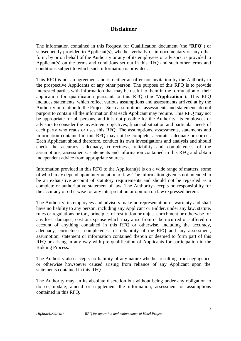## **Disclaimer**

The information contained in this Request for Qualification document (the "**RFQ**") or subsequently provided to Applicant(s), whether verbally or in documentary or any other form, by or on behalf of the Authority or any of its employees or advisors, is provided to Applicant(s) on the terms and conditions set out in this RFQ and such other terms and conditions subject to which such information is provided.

This RFQ is not an agreement and is neither an offer nor invitation by the Authority to the prospective Applicants or any other person. The purpose of this RFQ is to provide interested parties with information that may be useful to them in the formulation of their application for qualification pursuant to this RFQ (the "**Application**"). This RFQ includes statements, which reflect various assumptions and assessments arrived at by the Authority in relation to the Project. Such assumptions, assessments and statements do not purport to contain all the information that each Applicant may require. This RFQ may not be appropriate for all persons, and it is not possible for the Authority, its employees or advisors to consider the investment objectives, financial situation and particular needs of each party who reads or uses this RFQ. The assumptions, assessments, statements and information contained in this RFQ may not be complete, accurate, adequate or correct. Each Applicant should therefore, conduct its own investigations and analysis and should check the accuracy, adequacy, correctness, reliability and completeness of the assumptions, assessments, statements and information contained in this RFQ and obtain independent advice from appropriate sources.

Information provided in this RFQ to the Applicant(s) is on a wide range of matters, some of which may depend upon interpretation of law. The information given is not intended to be an exhaustive account of statutory requirements and should not be regarded as a complete or authoritative statement of law. The Authority accepts no responsibility for the accuracy or otherwise for any interpretation or opinion on law expressed herein.

The Authority, its employees and advisors make no representation or warranty and shall have no liability to any person, including any Applicant or Bidder, under any law, statute, rules or regulations or tort, principles of restitution or unjust enrichment or otherwise for any loss, damages, cost or expense which may arise from or be incurred or suffered on account of anything contained in this RFQ or otherwise, including the accuracy, adequacy, correctness, completeness or reliability of the RFQ and any assessment, assumption, statement or information contained therein or deemed to form part of this RFQ or arising in any way with pre-qualification of Applicants for participation in the Bidding Process.

The Authority also accepts no liability of any nature whether resulting from negligence or otherwise howsoever caused arising from reliance of any Applicant upon the statements contained in this RFQ.

The Authority may, in its absolute discretion but without being under any obligation to do so, update, amend or supplement the information, assessment or assumptions contained in this RFQ.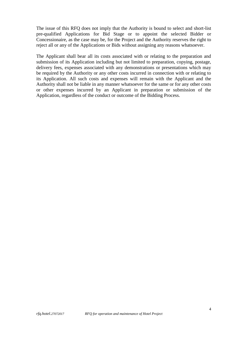The issue of this RFQ does not imply that the Authority is bound to select and short-list pre-qualified Applications for Bid Stage or to appoint the selected Bidder or Concessionaire, as the case may be, for the Project and the Authority reserves the right to reject all or any of the Applications or Bids without assigning any reasons whatsoever.

The Applicant shall bear all its costs associated with or relating to the preparation and submission of its Application including but not limited to preparation, copying, postage, delivery fees, expenses associated with any demonstrations or presentations which may be required by the Authority or any other costs incurred in connection with or relating to its Application. All such costs and expenses will remain with the Applicant and the Authority shall not be liable in any manner whatsoever for the same or for any other costs or other expenses incurred by an Applicant in preparation or submission of the Application, regardless of the conduct or outcome of the Bidding Process.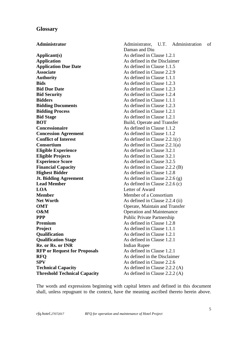### **Glossary**

**Applicant(s)** As defined in Clause 1.2.1 **Application** As defined in the Disclaimer **Application Due Date** As defined in Clause 1.1.5 Associate Associate As defined in Clause 2.2.9 **Authority** As defined in Clause 1.1.1 **Bids Bids As defined in Clause 1.2.3 Bid Due Date** As defined in Clause 1.2.3 **Bid Security As defined in Clause 1.2.4 Bidders** As defined in Clause 1.1.1 **Bidding Documents** As defined in Clause 1.2.3 **Bidding Process** As defined in Clause 1.2.1 **Bid Stage** As defined in Clause 1.2.1 **BOT** Build, Operate and Transfer **Concessionaire** As defined in Clause 1.1.2 **Concession Agreement** As defined in Clause 1.1.2 **Conflict of Interest** As defined in Clause 2.2.1(c) **Consortium** As defined in Clause 2.2.1(a) **Eligible Experience** As defined in Clause 3.2.1 **Eligible Projects** As defined in Clause 3.2.1 **Experience Score** As defined in Clause 3.2.5 **Financial Capacity** As defined in Clause 2.2.2 (B) **Highest Bidder** As defined in Clause 1.2.8 **Jt. Bidding Agreement** As defined in Clause 2.2.6 (g) **Lead Member** As defined in Clause 2.2.6 (c) **LOA** Letter of Award **Member** Member of a Consortium **Net Worth** As defined in Clause 2.2.4 (ii) **OMT** Operate, Maintain and Transfer **O&M** Operation and Maintenance **PPP** Public Private Partnership **Premium** As defined in Clause 1.2.8 **Project** As defined in Clause 1.1.1 **Qualification** As defined in Clause 1.2.1 **Qualification Stage** As defined in Clause 1.2.1 **Re. or Rs. or INR** Indian Rupee **RFP or Request for Proposals** As defined in Clause 1.2.1 **RFO** As defined in the Disclaimer **SPV** As defined in Clause 2.2.6 **Technical Capacity** As defined in Clause 2.2.2 (A) **Threshold Technical Capacity** As defined in Clause 2.2.2 (A)

Administrator **Administrator** Administrator, U.T. Administration of Daman and Diu

The words and expressions beginning with capital letters and defined in this document shall, unless repugnant to the context, have the meaning ascribed thereto herein above.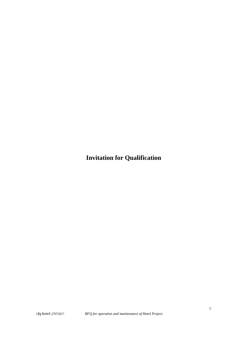**Invitation for Qualification**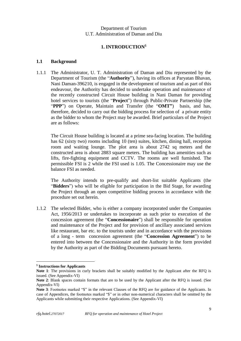Department of Tourism U.T. Administration of Daman and Diu

#### **1. INTRODUCTION**\$

#### **1.1 Background**

1.1.1 The Administrator, U. T. Administration of Daman and Diu represented by the Department of Tourism (the "**Authority**"), having its offices at Paryatan Bhavan, Nani Daman-396210, is engaged in the development of tourism and as part of this endeavour, the Authority has decided to undertake operation and maintenance of the recently constructed Circuit House building in Nani Daman for providing hotel services to tourists (the "**Project**") through Public-Private Partnership (the "**PPP**") on Operate, Maintain and Transfer (the "**OMT"**) basis, and has, therefore, decided to carry out the bidding process for selection of a private entity as the bidder to whom the Project may be awarded. Brief particulars of the Project are as follows:

The Circuit House building is located at a prime sea-facing location. The building has 62 (sixty two) rooms including 10 (ten) suites, kitchen, dining hall, reception room and waiting lounge. The plot area is about 2742 sq meters and the constructed area is about 2883 square meters. The building has amenities such as lifts, fire-fighting equipment and CCTV. The rooms are well furnished. The permissible FSI is 2 while the FSI used is 1.05. The Concessionaire may use the balance FSI as needed.

The Authority intends to pre-qualify and short-list suitable Applicants (the "**Bidders**") who will be eligible for participation in the Bid Stage, for awarding the Project through an open competitive bidding process in accordance with the procedure set out herein.

1.1.2 The selected Bidder, who is either a company incorporated under the Companies Act, 1956/2013 or undertakes to incorporate as such prior to execution of the concession agreement (the "**Concessionaire**") shall be responsible for operation and maintenance of the Project and for provision of ancillary associated services like restaurant, bar etc. to the tourists under and in accordance with the provisions of a long - term concession agreement (the "**Concession Agreement**") to be entered into between the Concessionaire and the Authority in the form provided by the Authority as part of the Bidding Documents pursuant hereto.

<sup>\$</sup> **Instructions for Applicants**

**Note 1**: The provisions in curly brackets shall be suitably modified by the Applicant after the RFQ is issued. (See Appendix-VI)

**Note 2**: Blank spaces contain formats that are to be used by the Applicant after the RFQ is issued. (See Appendix-VI)

**Note 3**: Footnotes marked "\$" in the relevant Clauses of the RFQ are for guidance of the Applicants. In case of Appendices, the footnotes marked "\$" or in other non-numerical characters shall be omitted by the Applicants while submitting their respective Applications. (See Appendix-VI)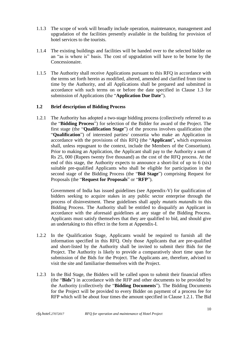- 1.1.3 The scope of work will broadly include operation, maintenance, management and upgradation of the facilities presently available in the building for provision of hotel services to the tourists.
- 1.1.4 The existing buildings and facilities will be handed over to the selected bidder on an "as is where is" basis. The cost of upgradation will have to be borne by the Concessionaire.
- 1.1.5 The Authority shall receive Applications pursuant to this RFQ in accordance with the terms set forth herein as modified, altered, amended and clarified from time to time by the Authority, and all Applications shall be prepared and submitted in accordance with such terms on or before the date specified in Clause 1.3 for submission of Applications (the "**Application Due Date**").

#### **1.2 Brief description of Bidding Process**

1.2.1 The Authority has adopted a two-stage bidding process (collectively referred to as the "**Bidding Process**") for selection of the Bidder for award of the Project. The first stage (the "**Qualification Stage**") of the process involves qualification (the "**Qualification**") of interested parties/ consortia who make an Application in accordance with the provisions of this RFQ (the "**Applicant**"**,** which expression shall, unless repugnant to the context, include the Members of the Consortium). Prior to making an Application, the Applicant shall pay to the Authority a sum of Rs 25, 000 (Rupees twenty five thousand) as the cost of the RFQ process. At the end of this stage, the Authority expects to announce a short-list of up to 6 (six) suitable pre-qualified Applicants who shall be eligible for participation in the second stage of the Bidding Process (the "**Bid Stage**") comprising Request for Proposals (the "**Request for Proposals**" or "**RFP**").

Government of India has issued guidelines (see Appendix-V) for qualification of bidders seeking to acquire stakes in any public sector enterprise through the process of disinvestment. These guidelines shall apply *mutatis mutandis* to this Bidding Process. The Authority shall be entitled to disqualify an Applicant in accordance with the aforesaid guidelines at any stage of the Bidding Process. Applicants must satisfy themselves that they are qualified to bid, and should give an undertaking to this effect in the form at Appendix-I.

- 1.2.2 In the Qualification Stage, Applicants would be required to furnish all the information specified in this RFQ. Only those Applicants that are pre-qualified and short-listed by the Authority shall be invited to submit their Bids for the Project. The Authority is likely to provide a comparatively short time span for submission of the Bids for the Project. The Applicants are, therefore, advised to visit the site and familiarise themselves with the Project.
- 1.2.3 In the Bid Stage, the Bidders will be called upon to submit their financial offers (the "**Bids**") in accordance with the RFP and other documents to be provided by the Authority (collectively the "**Bidding Documents**"). The Bidding Documents for the Project will be provided to every Bidder on payment of a process fee for RFP which will be about four times the amount specified in Clause 1.2.1. The Bid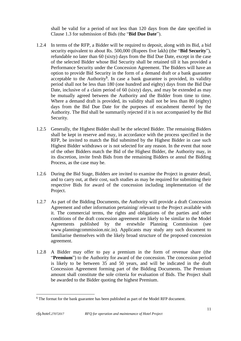shall be valid for a period of not less than 120 days from the date specified in Clause 1.3 for submission of Bids (the "**Bid Due Date**").

- 1.2.4 In terms of the RFP, a Bidder will be required to deposit, along with its Bid, a bid security equivalent to about Rs. 500,000 (Rupees five lakh) (the "**Bid Security**"), refundable no later than 60 (sixty) days from the Bid Due Date, except in the case of the selected Bidder whose Bid Security shall be retained till it has provided a Performance Security under the Concession Agreement. The Bidders will have an option to provide Bid Security in the form of a demand draft or a bank guarantee acceptable to the Authority<sup>§</sup>. In case a bank guarantee is provided, its validity period shall not be less than 180 (one hundred and eighty) days from the Bid Due Date, inclusive of a claim period of 60 (sixty) days, and may be extended as may be mutually agreed between the Authority and the Bidder from time to time. Where a demand draft is provided, its validity shall not be less than 80 (eighty) days from the Bid Due Date for the purposes of encashment thereof by the Authority. The Bid shall be summarily rejected if it is not accompanied by the Bid Security.
- 1.2.5 Generally, the Highest Bidder shall be the selected Bidder. The remaining Bidders shall be kept in reserve and may, in accordance with the process specified in the RFP, be invited to match the Bid submitted by the Highest Bidder in case such Highest Bidder withdraws or is not selected for any reason. In the event that none of the other Bidders match the Bid of the Highest Bidder, the Authority may, in its discretion, invite fresh Bids from the remaining Bidders or annul the Bidding Process, as the case may be.
- 1.2.6 During the Bid Stage, Bidders are invited to examine the Project in greater detail, and to carry out, at their cost, such studies as may be required for submitting their respective Bids for award of the concession including implementation of the Project.
- 1.2.7 As part of the Bidding Documents, the Authority will provide a draft Concession Agreement and other information pertaining/ relevant to the Project available with it. The commercial terms, the rights and obligations of the parties and other conditions of the draft concession agreement are likely to be similar to the Model Agreements published by the erstwhile Planning Commission (see www.planningcommission.nic.in). Applicants may study any such document to familiarise themselves with the likely broad structure of the proposed concession agreement.
- 1.2.8 A Bidder may offer to pay a premium in the form of revenue share (the "**Premium**") to the Authority for award of the concession. The concession period is likely to be between 35 and 50 years, and will be indicated in the draft Concession Agreement forming part of the Bidding Documents. The Premium amount shall constitute the sole criteria for evaluation of Bids. The Project shall be awarded to the Bidder quoting the highest Premium.

<sup>\$</sup> The format for the bank guarantee has been published as part of the Model RFP document.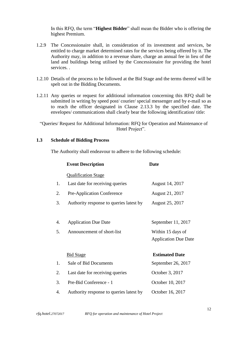In this RFQ, the term "**Highest Bidder**" shall mean the Bidder who is offering the highest Premium.

- 1.2.9 The Concessionaire shall, in consideration of its investment and services, be entitled to charge market determined rates for the services being offered by it. The Authority may, in addition to a revenue share, charge an annual fee in lieu of the land and buildings being utilised by the Concessionaire for providing the hotel services. .
- 1.2.10 Details of the process to be followed at the Bid Stage and the terms thereof will be spelt out in the Bidding Documents.
- 1.2.11 Any queries or request for additional information concerning this RFQ shall be submitted in writing by speed post/ courier/ special messenger and by e-mail so as to reach the officer designated in Clause 2.13.3 by the specified date. The envelopes/ communications shall clearly bear the following identification/ title:

"Queries/ Request for Additional Information: RFQ for Operation and Maintenance of Hotel Project".

#### **1.3 Schedule of Bidding Process**

The Authority shall endeavour to adhere to the following schedule:

|    | <b>Event Description</b>                | <b>Date</b>                 |
|----|-----------------------------------------|-----------------------------|
|    | <b>Qualification Stage</b>              |                             |
| 1. | Last date for receiving queries         | August 14, 2017             |
| 2. | Pre-Application Conference              | August 21, 2017             |
| 3. | Authority response to queries latest by | August 25, 2017             |
|    |                                         |                             |
| 4. | <b>Application Due Date</b>             | September 11, 2017          |
| 5. | Announcement of short-list              | Within 15 days of           |
|    |                                         | <b>Application Due Date</b> |
|    | <b>Bid Stage</b>                        | <b>Estimated Date</b>       |
| 1. | Sale of Bid Documents                   | September 26, 2017          |
| 2. | Last date for receiving queries         | October 3, 2017             |
| 3. | Pre-Bid Conference - 1                  | October 10, 2017            |
| 4. | Authority response to queries latest by | October 16, 2017            |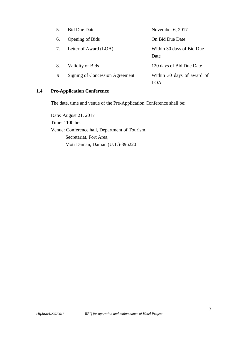| 5. | <b>Bid Due Date</b>             | November 6, 2017                  |
|----|---------------------------------|-----------------------------------|
| 6. | <b>Opening of Bids</b>          | On Bid Due Date                   |
| 7. | Letter of Award (LOA)           | Within 30 days of Bid Due<br>Date |
| 8. | Validity of Bids                | 120 days of Bid Due Date          |
| 9  | Signing of Concession Agreement | Within 30 days of award of        |

## **1.4 Pre-Application Conference**

The date, time and venue of the Pre-Application Conference shall be:

Date: August 21, 2017 Time: 1100 hrs Venue: Conference hall, Department of Tourism, Secretariat, Fort Area, Moti Daman, Daman (U.T.)-396220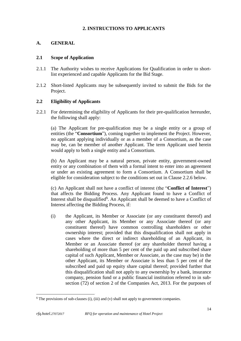## **2. INSTRUCTIONS TO APPLICANTS**

## **A. GENERAL**

## **2.1 Scope of Application**

- 2.1.1 The Authority wishes to receive Applications for Qualification in order to shortlist experienced and capable Applicants for the Bid Stage.
- 2.1.2 Short-listed Applicants may be subsequently invited to submit the Bids for the Project.

## **2.2 Eligibility of Applicants**

2.2.1 For determining the eligibility of Applicants for their pre-qualification hereunder, the following shall apply:

(a) The Applicant for pre-qualification may be a single entity or a group of entities (the "**Consortium**"), coming together to implement the Project. However, no applicant applying individually or as a member of a Consortium, as the case may be, can be member of another Applicant. The term Applicant used herein would apply to both a single entity and a Consortium.

(b) An Applicant may be a natural person, private entity, government-owned entity or any combination of them with a formal intent to enter into an agreement or under an existing agreement to form a Consortium. A Consortium shall be eligible for consideration subject to the conditions set out in Clause 2.2.6 below.

(c) An Applicant shall not have a conflict of interest (the "**Conflict of Interest**") that affects the Bidding Process. Any Applicant found to have a Conflict of Interest shall be disqualified<sup>§</sup>. An Applicant shall be deemed to have a Conflict of Interest affecting the Bidding Process, if:

(i) the Applicant, its Member or Associate (or any constituent thereof) and any other Applicant, its Member or any Associate thereof (or any constituent thereof) have common controlling shareholders or other ownership interest; provided that this disqualification shall not apply in cases where the direct or indirect shareholding of an Applicant, its Member or an Associate thereof (or any shareholder thereof having a shareholding of more than 5 per cent of the paid up and subscribed share capital of such Applicant, Member or Associate, as the case may be) in the other Applicant, its Member or Associate is less than 5 per cent of the subscribed and paid up equity share capital thereof; provided further that this disqualification shall not apply to any ownership by a bank, insurance company, pension fund or a public financial institution referred to in subsection (72) of section 2 of the Companies Act, 2013. For the purposes of

 $$$  The provisions of sub-clauses (i), (iii) and (v) shall not apply to government companies.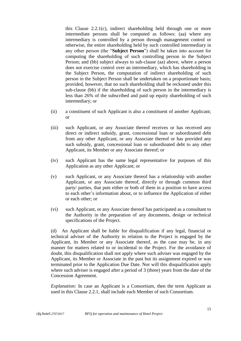this Clause 2.2.1(c), indirect shareholding held through one or more intermediate persons shall be computed as follows: (aa) where any intermediary is controlled by a person through management control or otherwise, the entire shareholding held by such controlled intermediary in any other person (the "**Subject Person**") shall be taken into account for computing the shareholding of such controlling person in the Subject Person; and (bb) subject always to sub-clause (aa) above, where a person does not exercise control over an intermediary, which has shareholding in the Subject Person, the computation of indirect shareholding of such person in the Subject Person shall be undertaken on a proportionate basis; provided, however, that no such shareholding shall be reckoned under this sub-clause (bb) if the shareholding of such person in the intermediary is less than 26% of the subscribed and paid up equity shareholding of such intermediary; or

- (ii) a constituent of such Applicant is also a constituent of another Applicant; or
- (iii) such Applicant, or any Associate thereof receives or has received any direct or indirect subsidy, grant, concessional loan or subordinated debt from any other Applicant, or any Associate thereof or has provided any such subsidy, grant, concessional loan or subordinated debt to any other Applicant, its Member or any Associate thereof; or
- (iv) such Applicant has the same legal representative for purposes of this Application as any other Applicant; or
- (v) such Applicant, or any Associate thereof has a relationship with another Applicant, or any Associate thereof, directly or through common third party/ parties, that puts either or both of them in a position to have access to each other's information about, or to influence the Application of either or each other; or
- (vi) such Applicant, or any Associate thereof has participated as a consultant to the Authority in the preparation of any documents, design or technical specifications of the Project.

(d) An Applicant shall be liable for disqualification if any legal, financial or technical adviser of the Authority in relation to the Project is engaged by the Applicant, its Member or any Associate thereof, as the case may be, in any manner for matters related to or incidental to the Project. For the avoidance of doubt, this disqualification shall not apply where such adviser was engaged by the Applicant, its Member or Associate in the past but its assignment expired or was terminated prior to the Application Due Date. Nor will this disqualification apply where such adviser is engaged after a period of 3 (three) years from the date of the Concession Agreement.

*Explanation:* In case an Applicant is a Consortium, then the term Applicant as used in this Clause 2.2.1, shall include each Member of such Consortium.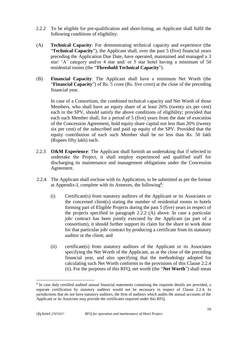- 2.2.2 To be eligible for pre-qualification and short-listing, an Applicant shall fulfil the following conditions of eligibility:
- (A) **Technical Capacity**: For demonstrating technical capacity and experience (the "**Technical Capacity**"), the Applicant shall, over the past 5 (five) financial years preceding the Application Due Date, have operated, maintained and managed a 3 star/ 'A' category and/or 4 star and/ or 5 star hotel having a minimum of 50 residential rooms (the "**Threshold Technical Capacity**").
- (B) **Financial Capacity**: The Applicant shall have a minimum Net Worth (the "**Financial Capacity**") of Rs. 5 crore (Rs. five crore) at the close of the preceding financial year.

In case of a Consortium, the combined technical capacity and Net Worth of those Members, who shall have an equity share of at least 26% (twenty six per cent) each in the SPV, should satisfy the above conditions of eligibility; provided that each such Member shall, for a period of 5 (five) years from the date of execution of the Concession Agreement, hold equity share capital not less than 26% (twenty six per cent) of the subscribed and paid up equity of the SPV. Provided that the equity contribution of each such Member shall be no less than Rs. 50 lakh (Rupees fifty lakh) each.

- 2.2.3 **O&M Experience**: The Applicant shall furnish an undertaking that if selected to undertake the Project, it shall employ experienced and qualified staff for discharging its maintenance and management obligations under the Concession Agreement.
- 2.2.4 The Applicant shall enclose with its Application, to be submitted as per the format at Appendix-I, complete with its Annexes, the following<sup>§</sup>:
	- (i) Certificate(s) from statutory auditors of the Applicant or its Associates or the concerned client(s) stating the number of residential rooms in hotels forming part of Eligible Projects during the past 5 (five) years in respect of the projects specified in paragraph 2.2.2 (A) above. In case a particular job/ contract has been jointly executed by the Applicant (as part of a consortium), it should further support its claim for the share in work done for that particular job/ contract by producing a certificate from its statutory auditor or the client; and
	- (ii) certificate(s) from statutory auditors of the Applicant or its Associates specifying the Net Worth of the Applicant, as at the close of the preceding financial year, and also specifying that the methodology adopted for calculating such Net Worth conforms to the provisions of this Clause 2.2.4 (ii). For the purposes of this RFQ, net worth (the "**Net Worth**") shall mean

<sup>&</sup>lt;sup>§</sup> In case duly certified audited annual financial statements containing the requisite details are provided, a separate certification by statutory auditors would not be necessary in respect of Clause 2.2.4. In jurisdictions that do not have statutory auditors, the firm of auditors which audits the annual accounts of the Applicant or its Associate may provide the certificates required under this RFQ.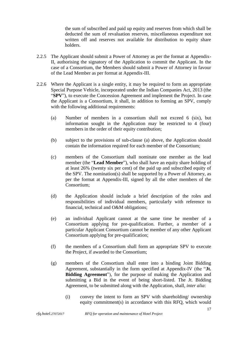the sum of subscribed and paid up equity and reserves from which shall be deducted the sum of revaluation reserves, miscellaneous expenditure not written off and reserves not available for distribution to equity share holders.

- 2.2.5 The Applicant should submit a Power of Attorney as per the format at Appendix-II, authorising the signatory of the Application to commit the Applicant. In the case of a Consortium, the Members should submit a Power of Attorney in favour of the Lead Member as per format at Appendix-III.
- 2.2.6 Where the Applicant is a single entity, it may be required to form an appropriate Special Purpose Vehicle, incorporated under the Indian Companies Act, 2013 (the "**SPV**"), to execute the Concession Agreement and implement the Project. In case the Applicant is a Consortium, it shall, in addition to forming an SPV, comply with the following additional requirements:
	- (a) Number of members in a consortium shall not exceed 6 (six), but information sought in the Application may be restricted to 4 (four) members in the order of their equity contribution;
	- (b) subject to the provisions of sub-clause (a) above, the Application should contain the information required for each member of the Consortium;
	- (c) members of the Consortium shall nominate one member as the lead member (the "**Lead Member**"), who shall have an equity share holding of at least 26% (twenty six per cent) of the paid up and subscribed equity of the SPV. The nomination(s) shall be supported by a Power of Attorney, as per the format at Appendix-III, signed by all the other members of the Consortium;
	- (d) the Application should include a brief description of the roles and responsibilities of individual members, particularly with reference to financial, technical and O&M obligations;
	- (e) an individual Applicant cannot at the same time be member of a Consortium applying for pre-qualification. Further, a member of a particular Applicant Consortium cannot be member of any other Applicant Consortium applying for pre-qualification;
	- (f) the members of a Consortium shall form an appropriate SPV to execute the Project, if awarded to the Consortium;
	- (g) members of the Consortium shall enter into a binding Joint Bidding Agreement, substantially in the form specified at Appendix-IV (the "**Jt. Bidding Agreement**"), for the purpose of making the Application and submitting a Bid in the event of being short-listed. The Jt. Bidding Agreement, to be submitted along with the Application, shall, *inter alia*:
		- (i) convey the intent to form an SPV with shareholding/ ownership equity commitment(s) in accordance with this RFQ, which would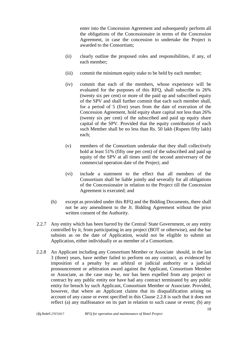enter into the Concession Agreement and subsequently perform all the obligations of the Concessionaire in terms of the Concession Agreement, in case the concession to undertake the Project is awarded to the Consortium;

- (ii) clearly outline the proposed roles and responsibilities, if any, of each member;
- (iii) commit the minimum equity stake to be held by each member;
- (iv) commit that each of the members, whose experience will be evaluated for the purposes of this RFQ, shall subscribe to 26% (twenty six per cent) or more of the paid up and subscribed equity of the SPV and shall further commit that each such member shall, for a period of 5 (five) years from the date of execution of the Concession Agreement, hold equity share capital not less than 26% (twenty six per cent) of the subscribed and paid up equity share capital of the SPV. Provided that the equity contribution of each such Member shall be no less than Rs. 50 lakh (Rupees fifty lakh) each;
- (v) members of the Consortium undertake that they shall collectively hold at least 51% (fifty one per cent) of the subscribed and paid up equity of the SPV at all times until the second anniversary of the commercial operation date of the Project; and
- (vi) include a statement to the effect that all members of the Consortium shall be liable jointly and severally for all obligations of the Concessionaire in relation to the Project till the Concession Agreement is executed; and
- (h) except as provided under this RFQ and the Bidding Documents, there shall not be any amendment to the Jt. Bidding Agreement without the prior written consent of the Authority.
- 2.2.7 Any entity which has been barred by the Central/ State Government, or any entity controlled by it, from participating in any project (BOT or otherwise), and the bar subsists as on the date of Application, would not be eligible to submit an Application, either individually or as member of a Consortium.
- 2.2.8 An Applicant including any Consortium Member or Associate should, in the last 3 (three) years, have neither failed to perform on any contract, as evidenced by imposition of a penalty by an arbitral or judicial authority or a judicial pronouncement or arbitration award against the Applicant, Consortium Member or Associate, as the case may be, nor has been expelled from any project or contract by any public entity nor have had any contract terminated by any public entity for breach by such Applicant, Consortium Member or Associate. Provided, however, that where an Applicant claims that its disqualification arising on account of any cause or event specified in this Clause 2.2.8 is such that it does not reflect (a) any malfeasance on its part in relation to such cause or event; (b) any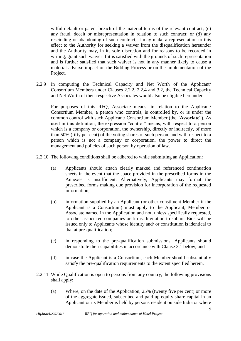wilful default or patent breach of the material terms of the relevant contract; (c) any fraud, deceit or misrepresentation in relation to such contract; or (d) any rescinding or abandoning of such contract, it may make a representation to this effect to the Authority for seeking a waiver from the disqualification hereunder and the Authority may, in its sole discretion and for reasons to be recorded in writing, grant such waiver if it is satisfied with the grounds of such representation and is further satisfied that such waiver is not in any manner likely to cause a material adverse impact on the Bidding Process or on the implementation of the Project.

2.2.9 In computing the Technical Capacity and Net Worth of the Applicant/ Consortium Members under Clauses 2.2.2, 2.2.4 and 3.2, the Technical Capacity and Net Worth of their respective Associates would also be eligible hereunder.

For purposes of this RFQ, Associate means, in relation to the Applicant/ Consortium Member, a person who controls, is controlled by, or is under the common control with such Applicant/ Consortium Member (the "**Associate**"). As used in this definition, the expression "control" means, with respect to a person which is a company or corporation, the ownership, directly or indirectly, of more than 50% (fifty per cent) of the voting shares of such person, and with respect to a person which is not a company or corporation, the power to direct the management and policies of such person by operation of law.

- 2.2.10 The following conditions shall be adhered to while submitting an Application:
	- (a) Applicants should attach clearly marked and referenced continuation sheets in the event that the space provided in the prescribed forms in the Annexes is insufficient. Alternatively, Applicants may format the prescribed forms making due provision for incorporation of the requested information;
	- (b) information supplied by an Applicant (or other constituent Member if the Applicant is a Consortium) must apply to the Applicant, Member or Associate named in the Application and not, unless specifically requested, to other associated companies or firms. Invitation to submit Bids will be issued only to Applicants whose identity and/ or constitution is identical to that at pre-qualification;
	- (c) in responding to the pre-qualification submissions, Applicants should demonstrate their capabilities in accordance with Clause 3.1 below; and
	- (d) in case the Applicant is a Consortium, each Member should substantially satisfy the pre-qualification requirements to the extent specified herein.
- 2.2.11 While Qualification is open to persons from any country, the following provisions shall apply:
	- (a) Where, on the date of the Application, 25% (twenty five per cent) or more of the aggregate issued, subscribed and paid up equity share capital in an Applicant or its Member is held by persons resident outside India or where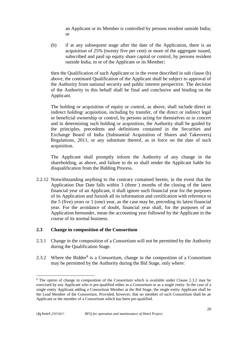an Applicant or its Member is controlled by persons resident outside India; or

(b) if at any subsequent stage after the date of the Application, there is an acquisition of 25% (twenty five per cent) or more of the aggregate issued, subscribed and paid up equity share capital or control, by persons resident outside India, in or of the Applicant or its Member;

then the Qualification of such Applicant or in the event described in sub clause (b) above, the continued Qualification of the Applicant shall be subject to approval of the Authority from national security and public interest perspective. The decision of the Authority in this behalf shall be final and conclusive and binding on the Applicant.

The holding or acquisition of equity or control, as above, shall include direct or indirect holding/ acquisition, including by transfer, of the direct or indirect legal or beneficial ownership or control, by persons acting for themselves or in concert and in determining such holding or acquisition, the Authority shall be guided by the principles, precedents and definitions contained in the Securities and Exchange Board of India (Substantial Acquisition of Shares and Takeovers) Regulations, 2011, or any substitute thereof, as in force on the date of such acquisition.

The Applicant shall promptly inform the Authority of any change in the shareholding, as above, and failure to do so shall render the Applicant liable for disqualification from the Bidding Process.

2.2.12 Notwithstanding anything to the contrary contained herein, in the event that the Application Due Date falls within 3 (three ) months of the closing of the latest financial year of an Applicant, it shall ignore such financial year for the purposes of its Application and furnish all its information and certification with reference to the 5 (five) years or 1 (one) year, as the case may be, preceding its latest financial year. For the avoidance of doubt, financial year shall, for the purposes of an Application hereunder, mean the accounting year followed by the Applicant in the course of its normal business.

#### **2.3 Change in composition of the Consortium**

- 2.3.1 Change in the composition of a Consortium will not be permitted by the Authority during the Qualification Stage.
- 2.3.2 Where the Bidder<sup>\$</sup> is a Consortium, change in the composition of a Consortium may be permitted by the Authority during the Bid Stage, only where:

<sup>\$</sup> The option of change in composition of the Consortium which is available under Clause 2.3.2 may be exercised by any Applicant who is pre-qualified either as a Consortium or as a single entity. In the case of a single entity Applicant adding a Consortium Member at the Bid Stage, the single entity Applicant shall be the Lead Member of the Consortium. Provided, however, that no member of such Consortium shall be an Applicant or the member of a Consortium which has been pre-qualified.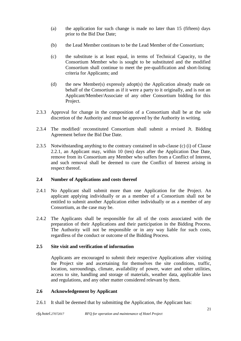- (a) the application for such change is made no later than 15 (fifteen) days prior to the Bid Due Date;
- (b) the Lead Member continues to be the Lead Member of the Consortium;
- (c) the substitute is at least equal, in terms of Technical Capacity, to the Consortium Member who is sought to be substituted and the modified Consortium shall continue to meet the pre-qualification and short-listing criteria for Applicants; and
- (d) the new Member(s) expressly adopt(s) the Application already made on behalf of the Consortium as if it were a party to it originally, and is not an Applicant/Member/Associate of any other Consortium bidding for this Project.
- 2.3.3 Approval for change in the composition of a Consortium shall be at the sole discretion of the Authority and must be approved by the Authority in writing.
- 2.3.4 The modified/ reconstituted Consortium shall submit a revised Jt. Bidding Agreement before the Bid Due Date.
- 2.3.5 Notwithstanding anything to the contrary contained in sub-clause (c) (i) of Clause 2.2.1, an Applicant may, within 10 (ten) days after the Application Due Date, remove from its Consortium any Member who suffers from a Conflict of Interest, and such removal shall be deemed to cure the Conflict of Interest arising in respect thereof.

#### **2.4 Number of Applications and costs thereof**

- 2.4.1 No Applicant shall submit more than one Application for the Project. An applicant applying individually or as a member of a Consortium shall not be entitled to submit another Application either individually or as a member of any Consortium, as the case may be.
- 2.4.2 The Applicants shall be responsible for all of the costs associated with the preparation of their Applications and their participation in the Bidding Process. The Authority will not be responsible or in any way liable for such costs, regardless of the conduct or outcome of the Bidding Process.

#### **2.5 Site visit and verification of information**

Applicants are encouraged to submit their respective Applications after visiting the Project site and ascertaining for themselves the site conditions, traffic, location, surroundings, climate, availability of power, water and other utilities, access to site, handling and storage of materials, weather data, applicable laws and regulations, and any other matter considered relevant by them.

#### **2.6 Acknowledgement by Applicant**

2.6.1 It shall be deemed that by submitting the Application, the Applicant has: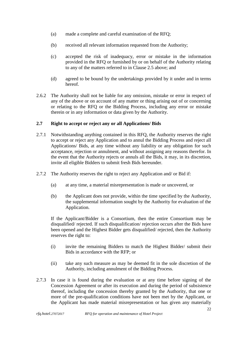- (a) made a complete and careful examination of the RFQ;
- (b) received all relevant information requested from the Authority;
- (c) accepted the risk of inadequacy, error or mistake in the information provided in the RFQ or furnished by or on behalf of the Authority relating to any of the matters referred to in Clause 2.5 above; and
- (d) agreed to be bound by the undertakings provided by it under and in terms hereof.
- 2.6.2 The Authority shall not be liable for any omission, mistake or error in respect of any of the above or on account of any matter or thing arising out of or concerning or relating to the RFQ or the Bidding Process, including any error or mistake therein or in any information or data given by the Authority.

## **2.7 Right to accept or reject any or all Applications/ Bids**

- 2.7.1 Notwithstanding anything contained in this RFQ, the Authority reserves the right to accept or reject any Application and to annul the Bidding Process and reject all Applications/ Bids, at any time without any liability or any obligation for such acceptance, rejection or annulment, and without assigning any reasons therefor. In the event that the Authority rejects or annuls all the Bids, it may, in its discretion, invite all eligible Bidders to submit fresh Bids hereunder.
- 2.7.2 The Authority reserves the right to reject any Application and/ or Bid if:
	- (a) at any time, a material misrepresentation is made or uncovered, or
	- (b) the Applicant does not provide, within the time specified by the Authority, the supplemental information sought by the Authority for evaluation of the Application.

If the Applicant/Bidder is a Consortium, then the entire Consortium may be disqualified/ rejected. If such disqualification/ rejection occurs after the Bids have been opened and the Highest Bidder gets disqualified/ rejected, then the Authority reserves the right to:

- (i) invite the remaining Bidders to match the Highest Bidder/ submit their Bids in accordance with the RFP; or
- (ii) take any such measure as may be deemed fit in the sole discretion of the Authority, including annulment of the Bidding Process.
- 2.7.3 In case it is found during the evaluation or at any time before signing of the Concession Agreement or after its execution and during the period of subsistence thereof, including the concession thereby granted by the Authority, that one or more of the pre-qualification conditions have not been met by the Applicant, or the Applicant has made material misrepresentation or has given any materially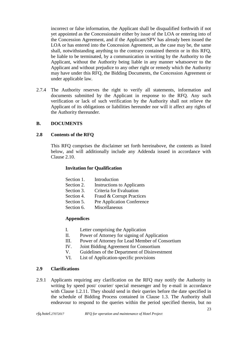incorrect or false information, the Applicant shall be disqualified forthwith if not yet appointed as the Concessionaire either by issue of the LOA or entering into of the Concession Agreement, and if the Applicant/SPV has already been issued the LOA or has entered into the Concession Agreement, as the case may be, the same shall, notwithstanding anything to the contrary contained therein or in this RFQ, be liable to be terminated, by a communication in writing by the Authority to the Applicant, without the Authority being liable in any manner whatsoever to the Applicant and without prejudice to any other right or remedy which the Authority may have under this RFQ, the Bidding Documents, the Concession Agreement or under applicable law.

2.7.4 The Authority reserves the right to verify all statements, information and documents submitted by the Applicant in response to the RFQ. Any such verification or lack of such verification by the Authority shall not relieve the Applicant of its obligations or liabilities hereunder nor will it affect any rights of the Authority thereunder.

## **B. DOCUMENTS**

#### **2.8 Contents of the RFQ**

This RFQ comprises the disclaimer set forth hereinabove, the contents as listed below, and will additionally include any Addenda issued in accordance with Clause 2.10.

#### **Invitation for Qualification**

| Section 1. | Introduction                      |
|------------|-----------------------------------|
| Section 2. | <b>Instructions to Applicants</b> |
| Section 3. | Criteria for Evaluation           |
| Section 4. | Fraud & Corrupt Practices         |
| Section 5. | Pre Application Conference        |
| Section 6. | Miscellaneous                     |
|            |                                   |

#### **Appendices**

- I. Letter comprising the Application
- II. Power of Attorney for signing of Application
- III. Power of Attorney for Lead Member of Consortium
- IV. Joint Bidding Agreement for Consortium
- V. Guidelines of the Department of Disinvestment
- VI. List of Application-specific provisions

#### **2.9 Clarifications**

2.9.1 Applicants requiring any clarification on the RFQ may notify the Authority in writing by speed post/ courier/ special messenger and by e-mail in accordance with Clause 1.2.11. They should send in their queries before the date specified in the schedule of Bidding Process contained in Clause 1.3. The Authority shall endeavour to respond to the queries within the period specified therein, but no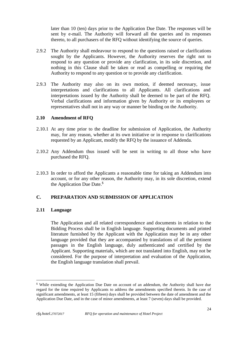later than 10 (ten) days prior to the Application Due Date. The responses will be sent by e-mail. The Authority will forward all the queries and its responses thereto, to all purchasers of the RFQ without identifying the source of queries.

- 2.9.2 The Authority shall endeavour to respond to the questions raised or clarifications sought by the Applicants. However, the Authority reserves the right not to respond to any question or provide any clarification, in its sole discretion, and nothing in this Clause shall be taken or read as compelling or requiring the Authority to respond to any question or to provide any clarification.
- 2.9.3 The Authority may also on its own motion, if deemed necessary, issue interpretations and clarifications to all Applicants. All clarifications and interpretations issued by the Authority shall be deemed to be part of the RFQ. Verbal clarifications and information given by Authority or its employees or representatives shall not in any way or manner be binding on the Authority.

#### **2.10 Amendment of RFQ**

- 2.10.1 At any time prior to the deadline for submission of Application, the Authority may, for any reason, whether at its own initiative or in response to clarifications requested by an Applicant, modify the RFQ by the issuance of Addenda.
- 2.10.2 Any Addendum thus issued will be sent in writing to all those who have purchased the RFQ.
- 2.10.3 In order to afford the Applicants a reasonable time for taking an Addendum into account, or for any other reason, the Authority may, in its sole discretion, extend the Application Due Date.\$

#### **C. PREPARATION AND SUBMISSION OF APPLICATION**

#### **2.11 Language**

The Application and all related correspondence and documents in relation to the Bidding Process shall be in English language. Supporting documents and printed literature furnished by the Applicant with the Application may be in any other language provided that they are accompanied by translations of all the pertinent passages in the English language, duly authenticated and certified by the Applicant. Supporting materials, which are not translated into English, may not be considered. For the purpose of interpretation and evaluation of the Application, the English language translation shall prevail.

<sup>\$</sup> While extending the Application Due Date on account of an addendum, the Authority shall have due regard for the time required by Applicants to address the amendments specified therein. In the case of significant amendments, at least 15 (fifteen) days shall be provided between the date of amendment and the Application Due Date, and in the case of minor amendments, at least 7 (seven) days shall be provided.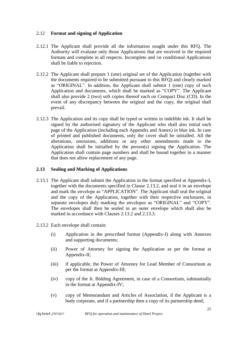## 2.12 **Format and signing of Application**

- 2.12.1 The Applicant shall provide all the information sought under this RFQ. The Authority will evaluate only those Applications that are received in the required formats and complete in all respects. Incomplete and /or conditional Applications shall be liable to rejection.
- 2.12.2 The Applicant shall prepare 1 (one) original set of the Application (together with the documents required to be submitted pursuant to this RFQ) and clearly marked as "ORIGINAL". In addition, the Applicant shall submit 1 (one) copy of such Application and documents, which shall be marked as "COPY". The Applicant shall also provide 2 (two) soft copies thereof each on Compact Disc (CD). In the event of any discrepancy between the original and the copy, the original shall prevail.
- 2.12.3 The Application and its copy shall be typed or written in indelible ink. It shall be signed by the authorised signatory of the Applicant who shall also initial each page of the Application (including each Appendix and Annex) in blue ink. In case of printed and published documents, only the cover shall be initialled. All the alterations, omissions, additions or any other amendments made to the Application shall be initialled by the person(s) signing the Application. The Application shall contain page numbers and shall be bound together in a manner that does not allow replacement of any page.

## **2.13 Sealing and Marking of Applications**

- 2.13.1 The Applicant shall submit the Application in the format specified at Appendix-I, together with the documents specified in Clause 2.13.2, and seal it in an envelope and mark the envelope as "APPLICATION". The Applicant shall seal the original and the copy of the Application, together with their respective enclosures, in separate envelopes duly marking the envelopes as "ORIGINAL" and "COPY". The envelopes shall then be sealed in an outer envelope which shall also be marked in accordance with Clauses 2.13.2 and 2.13.3.
- 2.13.2 Each envelope shall contain:
	- (i) Application in the prescribed format (Appendix-I) along with Annexes and supporting documents;
	- (ii) Power of Attorney for signing the Application as per the format at Appendix-II;
	- (iii) if applicable, the Power of Attorney for Lead Member of Consortium as per the format at Appendix-III;
	- (iv) copy of the Jt. Bidding Agreement, in case of a Consortium, substantially in the format at Appendix-IV;
	- (v) copy of Memorandum and Articles of Association, if the Applicant is a body corporate, and if a partnership then a copy of its partnership deed;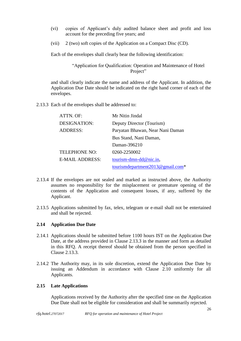- (vi) copies of Applicant's duly audited balance sheet and profit and loss account for the preceding five years; and
- (vii) 2 (two) soft copies of the Application on a Compact Disc (CD).

Each of the envelopes shall clearly bear the following identification:

## "Application for Qualification: Operation and Maintenance of Hotel Project"

and shall clearly indicate the name and address of the Applicant. In addition, the Application Due Date should be indicated on the right hand corner of each of the envelopes.

2.13.3 Each of the envelopes shall be addressed to:

| ATTN. OF:            | Mr Nitin Jindal                       |
|----------------------|---------------------------------------|
| <b>DESIGNATION:</b>  | Deputy Director (Tourism)             |
| <b>ADDRESS:</b>      | Paryatan Bhawan, Near Nani Daman      |
|                      | Bus Stand, Nani Daman,                |
|                      | Daman-396210                          |
| <b>TELEPHONE NO:</b> | 0260-2250002                          |
| E-MAIL ADDRESS:      | tourism-dmn- $dd@$ nic.in.            |
|                      | tourism department $2013@$ gmail.com* |

- 2.13.4 If the envelopes are not sealed and marked as instructed above, the Authority assumes no responsibility for the misplacement or premature opening of the contents of the Application and consequent losses, if any, suffered by the Applicant.
- 2.13.5 Applications submitted by fax, telex, telegram or e-mail shall not be entertained and shall be rejected.

## **2.14 Application Due Date**

- 2.14.1 Applications should be submitted before 1100 hours IST on the Application Due Date, at the address provided in Clause 2.13.3 in the manner and form as detailed in this RFQ. A receipt thereof should be obtained from the person specified in Clause 2.13.3.
- 2.14.2 The Authority may, in its sole discretion, extend the Application Due Date by issuing an Addendum in accordance with Clause 2.10 uniformly for all Applicants.

#### **2.15 Late Applications**

Applications received by the Authority after the specified time on the Application Due Date shall not be eligible for consideration and shall be summarily rejected.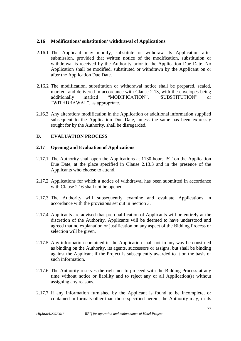## **2.16 Modifications/ substitution/ withdrawal of Applications**

- 2.16.1 The Applicant may modify, substitute or withdraw its Application after submission, provided that written notice of the modification, substitution or withdrawal is received by the Authority prior to the Application Due Date. No Application shall be modified, substituted or withdrawn by the Applicant on or after the Application Due Date.
- 2.16.2 The modification, substitution or withdrawal notice shall be prepared, sealed, marked, and delivered in accordance with Clause 2.13, with the envelopes being additionally marked "MODIFICATION", "SUBSTITUTION" or "WITHDRAWAL", as appropriate.
- 2.16.3 Any alteration/ modification in the Application or additional information supplied subsequent to the Application Due Date, unless the same has been expressly sought for by the Authority, shall be disregarded.

## **D. EVALUATION PROCESS**

## **2.17 Opening and Evaluation of Applications**

- 2.17.1 The Authority shall open the Applications at 1130 hours IST on the Application Due Date, at the place specified in Clause 2.13.3 and in the presence of the Applicants who choose to attend.
- 2.17.2 Applications for which a notice of withdrawal has been submitted in accordance with Clause 2.16 shall not be opened.
- 2.17.3 The Authority will subsequently examine and evaluate Applications in accordance with the provisions set out in Section 3.
- 2.17.4 Applicants are advised that pre-qualification of Applicants will be entirely at the discretion of the Authority. Applicants will be deemed to have understood and agreed that no explanation or justification on any aspect of the Bidding Process or selection will be given.
- 2.17.5 Any information contained in the Application shall not in any way be construed as binding on the Authority, its agents, successors or assigns, but shall be binding against the Applicant if the Project is subsequently awarded to it on the basis of such information.
- 2.17.6 The Authority reserves the right not to proceed with the Bidding Process at any time without notice or liability and to reject any or all Application(s) without assigning any reasons.
- 2.17.7 If any information furnished by the Applicant is found to be incomplete, or contained in formats other than those specified herein, the Authority may, in its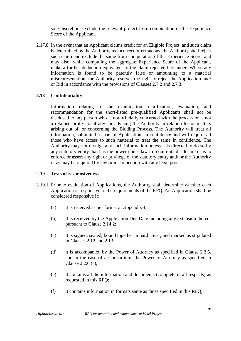sole discretion, exclude the relevant project from computation of the Experience Score of the Applicant.

2.17.8 In the event that an Applicant claims credit for an Eligible Project, and such claim is determined by the Authority as incorrect or erroneous, the Authority shall reject such claim and exclude the same from computation of the Experience Score, and may also, while computing the aggregate Experience Score of the Applicant, make a further deduction equivalent to the claim rejected hereunder. Where any information is found to be patently false or amounting to a material misrepresentation, the Authority reserves the right to reject the Application and/ or Bid in accordance with the provisions of Clauses 2.7.2 and 2.7.3.

#### **2.18 Confidentiality**

Information relating to the examination, clarification, evaluation, and recommendation for the short-listed pre-qualified Applicants shall not be disclosed to any person who is not officially concerned with the process or is not a retained professional advisor advising the Authority in relation to, or matters arising out of, or concerning the Bidding Process. The Authority will treat all information, submitted as part of Application, in confidence and will require all those who have access to such material to treat the same in confidence. The Authority may not divulge any such information unless it is directed to do so by any statutory entity that has the power under law to require its disclosure or is to enforce or assert any right or privilege of the statutory entity and/ or the Authority or as may be required by law or in connection with any legal process.

#### **2.19 Tests of responsiveness**

- 2.19.1 Prior to evaluation of Applications, the Authority shall determine whether each Application is responsive to the requirements of the RFQ. An Application shall be considered responsive if:
	- (a) it is received as per format at Appendix-I;
	- (b) it is received by the Application Due Date including any extension thereof pursuant to Clause 2.14.2;
	- (c) it is signed, sealed, bound together in hard cover, and marked as stipulated in Clauses 2.12 and 2.13;
	- (d) it is accompanied by the Power of Attorney as specified in Clause 2.2.5, and in the case of a Consortium, the Power of Attorney as specified in Clause 2.2.6 (c);
	- (e) it contains all the information and documents (complete in all respects) as requested in this RFQ;
	- (f) it contains information in formats same as those specified in this RFQ;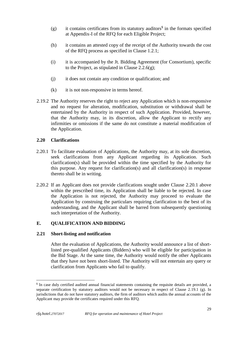- $(g)$  it contains certificates from its statutory auditors<sup>\$</sup> in the formats specified at Appendix-I of the RFQ for each Eligible Project;
- (h) it contains an attested copy of the receipt of the Authority towards the cost of the RFQ process as specified in Clause 1.2.1;
- (i) it is accompanied by the Jt. Bidding Agreement (for Consortium), specific to the Project, as stipulated in Clause  $2.2.6(g)$ ;
- (j) it does not contain any condition or qualification; and
- (k) it is not non-responsive in terms hereof.
- 2.19.2 The Authority reserves the right to reject any Application which is non-responsive and no request for alteration, modification, substitution or withdrawal shall be entertained by the Authority in respect of such Application. Provided, however, that the Authority may, in its discretion, allow the Applicant to rectify any infirmities or omissions if the same do not constitute a material modification of the Application.

#### **2.20 Clarifications**

- 2.20.1 To facilitate evaluation of Applications, the Authority may, at its sole discretion, seek clarifications from any Applicant regarding its Application. Such clarification(s) shall be provided within the time specified by the Authority for this purpose. Any request for clarification(s) and all clarification(s) in response thereto shall be in writing.
- 2.20.2 If an Applicant does not provide clarifications sought under Clause 2.20.1 above within the prescribed time, its Application shall be liable to be rejected. In case the Application is not rejected, the Authority may proceed to evaluate the Application by construing the particulars requiring clarification to the best of its understanding, and the Applicant shall be barred from subsequently questioning such interpretation of the Authority.

## **E. QUALIFICATION AND BIDDING**

#### **2.21 Short-listing and notification**

After the evaluation of Applications, the Authority would announce a list of shortlisted pre-qualified Applicants (Bidders) who will be eligible for participation in the Bid Stage. At the same time, the Authority would notify the other Applicants that they have not been short-listed. The Authority will not entertain any query or clarification from Applicants who fail to qualify.

<sup>&</sup>lt;sup>§</sup> In case duly certified audited annual financial statements containing the requisite details are provided, a separate certification by statutory auditors would not be necessary in respect of Clause 2.19.1 (g). In jurisdictions that do not have statutory auditors, the firm of auditors which audits the annual accounts of the Applicant may provide the certificates required under this RFQ.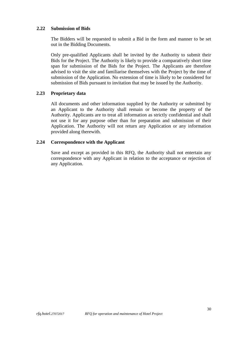## **2.22 Submission of Bids**

The Bidders will be requested to submit a Bid in the form and manner to be set out in the Bidding Documents.

Only pre-qualified Applicants shall be invited by the Authority to submit their Bids for the Project. The Authority is likely to provide a comparatively short time span for submission of the Bids for the Project. The Applicants are therefore advised to visit the site and familiarise themselves with the Project by the time of submission of the Application. No extension of time is likely to be considered for submission of Bids pursuant to invitation that may be issued by the Authority.

#### **2.23 Proprietary data**

All documents and other information supplied by the Authority or submitted by an Applicant to the Authority shall remain or become the property of the Authority. Applicants are to treat all information as strictly confidential and shall not use it for any purpose other than for preparation and submission of their Application. The Authority will not return any Application or any information provided along therewith.

#### **2.24 Correspondence with the Applicant**

Save and except as provided in this RFQ, the Authority shall not entertain any correspondence with any Applicant in relation to the acceptance or rejection of any Application.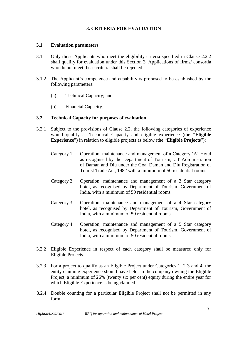## **3. CRITERIA FOR EVALUATION**

#### **3.1 Evaluation parameters**

- 3.1.1 Only those Applicants who meet the eligibility criteria specified in Clause 2.2.2 shall qualify for evaluation under this Section 3. Applications of firms/ consortia who do not meet these criteria shall be rejected.
- 3.1.2 The Applicant's competence and capability is proposed to be established by the following parameters:
	- (a) Technical Capacity; and
	- (b) Financial Capacity.

#### **3.2 Technical Capacity for purposes of evaluation**

- 3.2.1 Subject to the provisions of Clause 2.2, the following categories of experience would qualify as Technical Capacity and eligible experience (the "**Eligible Experience**") in relation to eligible projects as below (the "**Eligible Projects**"):
	- Category 1: Operation, maintenance and management of a Category 'A' Hotel as recognised by the Department of Tourism, UT Administration of Daman and Diu under the Goa, Daman and Diu Registration of Tourist Trade Act, 1982 with a minimum of 50 residential rooms
	- Category 2: Operation, maintenance and management of a 3 Star category hotel, as recognised by Department of Tourism, Government of India, with a minimum of 50 residential rooms
	- Category 3: Operation, maintenance and management of a 4 Star category hotel, as recognised by Department of Tourism, Government of India, with a minimum of 50 residential rooms
	- Category 4: Operation, maintenance and management of a 5 Star category hotel, as recognised by Department of Tourism, Government of India, with a minimum of 50 residential rooms
- 3.2.2 Eligible Experience in respect of each category shall be measured only for Eligible Projects.
- 3.2.3 For a project to qualify as an Eligible Project under Categories 1, 2 3 and 4, the entity claiming experience should have held, in the company owning the Eligible Project, a minimum of 26% (twenty six per cent) equity during the entire year for which Eligible Experience is being claimed.
- 3.2.4 Double counting for a particular Eligible Project shall not be permitted in any form.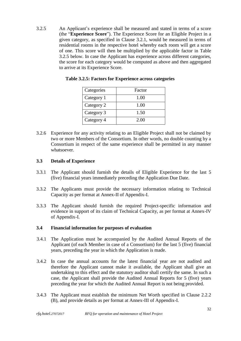3.2.5 An Applicant's experience shall be measured and stated in terms of a score (the "**Experience Score**"). The Experience Score for an Eligible Project in a given category, as specified in Clause 3.2.1, would be measured in terms of residential rooms in the respective hotel whereby each room will get a score of one. This score will then be multiplied by the applicable factor in Table 3.2.5 below. In case the Applicant has experience across different categories, the score for each category would be computed as above and then aggregated to arrive at its Experience Score.

| Categories | Factor |
|------------|--------|
| Category 1 | 1.00   |
| Category 2 | 1.00   |
| Category 3 | 1.50   |
| Category 4 | 2.00   |

| Table 3.2.5: Factors for Experience across categories |
|-------------------------------------------------------|
|-------------------------------------------------------|

3.2.6 Experience for any activity relating to an Eligible Project shall not be claimed by two or more Members of the Consortium. In other words, no double counting by a Consortium in respect of the same experience shall be permitted in any manner whatsoever.

#### **3.3 Details of Experience**

- 3.3.1 The Applicant should furnish the details of Eligible Experience for the last 5 (five) financial years immediately preceding the Application Due Date.
- 3.3.2 The Applicants must provide the necessary information relating to Technical Capacity as per format at Annex-II of Appendix-I.
- 3.3.3 The Applicant should furnish the required Project-specific information and evidence in support of its claim of Technical Capacity, as per format at Annex-IV of Appendix-I.

#### **3.4 Financial information for purposes of evaluation**

- 3.4.1 The Application must be accompanied by the Audited Annual Reports of the Applicant (of each Member in case of a Consortium) for the last 5 (five) financial years, preceding the year in which the Application is made.
- 3.4.2 In case the annual accounts for the latest financial year are not audited and therefore the Applicant cannot make it available, the Applicant shall give an undertaking to this effect and the statutory auditor shall certify the same. In such a case, the Applicant shall provide the Audited Annual Reports for 5 (five) years preceding the year for which the Audited Annual Report is not being provided.
- 3.4.3 The Applicant must establish the minimum Net Worth specified in Clause 2.2.2 (B), and provide details as per format at Annex-III of Appendix-I.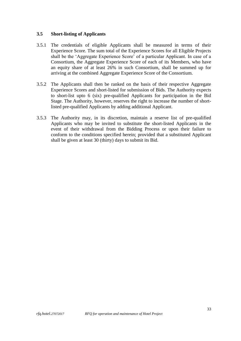#### **3.5 Short-listing of Applicants**

- 3.5.1 The credentials of eligible Applicants shall be measured in terms of their Experience Score. The sum total of the Experience Scores for all Eligible Projects shall be the 'Aggregate Experience Score' of a particular Applicant. In case of a Consortium, the Aggregate Experience Score of each of its Members, who have an equity share of at least 26% in such Consortium, shall be summed up for arriving at the combined Aggregate Experience Score of the Consortium.
- 3.5.2 The Applicants shall then be ranked on the basis of their respective Aggregate Experience Scores and short-listed for submission of Bids. The Authority expects to short-list upto 6 (six) pre-qualified Applicants for participation in the Bid Stage. The Authority, however, reserves the right to increase the number of shortlisted pre-qualified Applicants by adding additional Applicant.
- 3.5.3 The Authority may, in its discretion, maintain a reserve list of pre-qualified Applicants who may be invited to substitute the short-listed Applicants in the event of their withdrawal from the Bidding Process or upon their failure to conform to the conditions specified herein; provided that a substituted Applicant shall be given at least 30 (thirty) days to submit its Bid.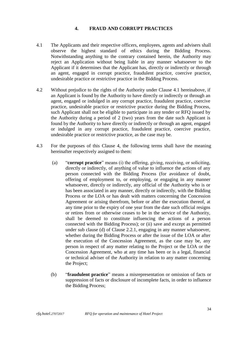#### **4. FRAUD AND CORRUPT PRACTICES**

- 4.1 The Applicants and their respective officers, employees, agents and advisers shall observe the highest standard of ethics during the Bidding Process. Notwithstanding anything to the contrary contained herein, the Authority may reject an Application without being liable in any manner whatsoever to the Applicant if it determines that the Applicant has, directly or indirectly or through an agent, engaged in corrupt practice, fraudulent practice, coercive practice, undesirable practice or restrictive practice in the Bidding Process.
- 4.2 Without prejudice to the rights of the Authority under Clause 4.1 hereinabove, if an Applicant is found by the Authority to have directly or indirectly or through an agent, engaged or indulged in any corrupt practice, fraudulent practice, coercive practice, undesirable practice or restrictive practice during the Bidding Process, such Applicant shall not be eligible to participate in any tender or RFQ issued by the Authority during a period of 2 (two) years from the date such Applicant is found by the Authority to have directly or indirectly or through an agent, engaged or indulged in any corrupt practice, fraudulent practice, coercive practice, undesirable practice or restrictive practice, as the case may be.
- 4.3 For the purposes of this Clause 4, the following terms shall have the meaning hereinafter respectively assigned to them:
	- (a) "**corrupt practice**" means (i) the offering, giving, receiving, or soliciting, directly or indirectly, of anything of value to influence the actions of any person connected with the Bidding Process (for avoidance of doubt, offering of employment to, or employing, or engaging in any manner whatsoever, directly or indirectly, any official of the Authority who is or has been associated in any manner, directly or indirectly, with the Bidding Process or the LOA or has dealt with matters concerning the Concession Agreement or arising therefrom, before or after the execution thereof, at any time prior to the expiry of one year from the date such official resigns or retires from or otherwise ceases to be in the service of the Authority, shall be deemed to constitute influencing the actions of a person connected with the Bidding Process); or (ii) save and except as permitted under sub clause (d) of Clause 2.2.1, engaging in any manner whatsoever, whether during the Bidding Process or after the issue of the LOA or after the execution of the Concession Agreement, as the case may be, any person in respect of any matter relating to the Project or the LOA or the Concession Agreement, who at any time has been or is a legal, financial or technical adviser of the Authority in relation to any matter concerning the Project;
	- (b) "**fraudulent practice**" means a misrepresentation or omission of facts or suppression of facts or disclosure of incomplete facts, in order to influence the Bidding Process;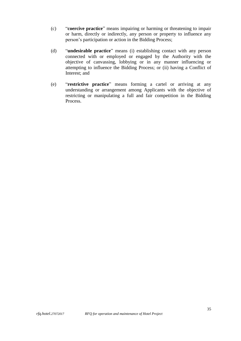- (c) "**coercive practice**" means impairing or harming or threatening to impair or harm, directly or indirectly, any person or property to influence any person's participation or action in the Bidding Process;
- (d) "**undesirable practice**" means (i) establishing contact with any person connected with or employed or engaged by the Authority with the objective of canvassing, lobbying or in any manner influencing or attempting to influence the Bidding Process; or (ii) having a Conflict of Interest; and
- (e) "**restrictive practice**" means forming a cartel or arriving at any understanding or arrangement among Applicants with the objective of restricting or manipulating a full and fair competition in the Bidding Process.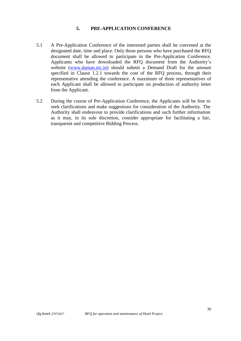#### **5. PRE-APPLICATION CONFERENCE**

- 5.1 A Pre-Application Conference of the interested parties shall be convened at the designated date, time and place. Only those persons who have purchased the RFQ document shall be allowed to participate in the Pre-Application Conference. Applicants who have downloaded the RFQ document from the Authority's website [\(www.daman.nic.in\)](http://www.daman.nic.in/) should submit a Demand Draft for the amount specified in Clause 1.2.1 towards the cost of the RFQ process, through their representative attending the conference. A maximum of three representatives of each Applicant shall be allowed to participate on production of authority letter from the Applicant.
- 5.2 During the course of Pre-Application Conference, the Applicants will be free to seek clarifications and make suggestions for consideration of the Authority. The Authority shall endeavour to provide clarifications and such further information as it may, in its sole discretion, consider appropriate for facilitating a fair, transparent and competitive Bidding Process.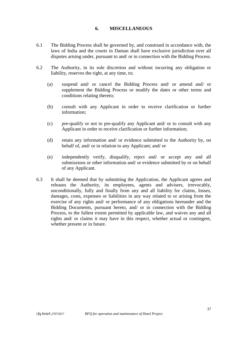#### **6. MISCELLANEOUS**

- 6.1 The Bidding Process shall be governed by, and construed in accordance with, the laws of India and the courts in Daman shall have exclusive jurisdiction over all disputes arising under, pursuant to and/ or in connection with the Bidding Process.
- 6.2 The Authority, in its sole discretion and without incurring any obligation or liability, reserves the right, at any time, to;
	- (a) suspend and/ or cancel the Bidding Process and/ or amend and/ or supplement the Bidding Process or modify the dates or other terms and conditions relating thereto;
	- (b) consult with any Applicant in order to receive clarification or further information;
	- (c) pre-qualify or not to pre-qualify any Applicant and/ or to consult with any Applicant in order to receive clarification or further information;
	- (d) retain any information and/ or evidence submitted to the Authority by, on behalf of, and/ or in relation to any Applicant; and/ or
	- (e) independently verify, disqualify, reject and/ or accept any and all submissions or other information and/ or evidence submitted by or on behalf of any Applicant.
- 6.3 It shall be deemed that by submitting the Application, the Applicant agrees and releases the Authority, its employees, agents and advisers, irrevocably, unconditionally, fully and finally from any and all liability for claims, losses, damages, costs, expenses or liabilities in any way related to or arising from the exercise of any rights and/ or performance of any obligations hereunder and the Bidding Documents, pursuant hereto, and/ or in connection with the Bidding Process, to the fullest extent permitted by applicable law, and waives any and all rights and/ or claims it may have in this respect, whether actual or contingent, whether present or in future.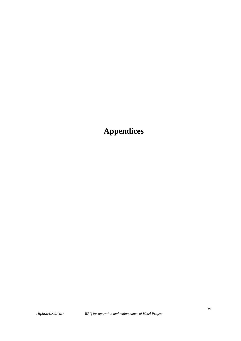# **Appendices**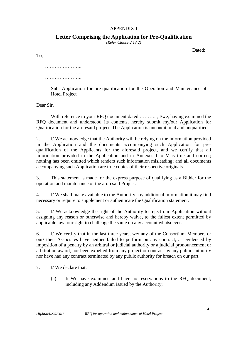#### APPENDIX-I

#### **Letter Comprising the Application for Pre-Qualification**

*(Refer Clause 2.13.2)*

Dated:

To,

…………………………… ………………….. …………………..

> Sub: Application for pre-qualification for the Operation and Maintenance of Hotel Project

Dear Sir,

With reference to your RFQ document dated ..........., I/we, having examined the RFQ document and understood its contents, hereby submit my/our Application for Qualification for the aforesaid project. The Application is unconditional and unqualified.

2. I/ We acknowledge that the Authority will be relying on the information provided in the Application and the documents accompanying such Application for prequalification of the Applicants for the aforesaid project, and we certify that all information provided in the Application and in Annexes I to V is true and correct; nothing has been omitted which renders such information misleading; and all documents accompanying such Application are true copies of their respective originals.

3. This statement is made for the express purpose of qualifying as a Bidder for the operation and maintenance of the aforesaid Project.

4. I/ We shall make available to the Authority any additional information it may find necessary or require to supplement or authenticate the Qualification statement.

5. I/ We acknowledge the right of the Authority to reject our Application without assigning any reason or otherwise and hereby waive, to the fullest extent permitted by applicable law, our right to challenge the same on any account whatsoever.

6. I/ We certify that in the last three years, we/ any of the Consortium Members or our/ their Associates have neither failed to perform on any contract, as evidenced by imposition of a penalty by an arbitral or judicial authority or a judicial pronouncement or arbitration award, nor been expelled from any project or contract by any public authority nor have had any contract terminated by any public authority for breach on our part.

7. I/ We declare that:

(a) I/ We have examined and have no reservations to the RFQ document, including any Addendum issued by the Authority;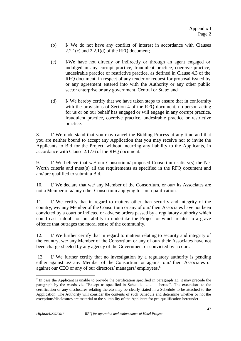- (b) I/ We do not have any conflict of interest in accordance with Clauses  $2.2.1(c)$  and  $2.2.1(d)$  of the RFQ document;
- (c) I/We have not directly or indirectly or through an agent engaged or indulged in any corrupt practice, fraudulent practice, coercive practice, undesirable practice or restrictive practice, as defined in Clause 4.3 of the RFQ document, in respect of any tender or request for proposal issued by or any agreement entered into with the Authority or any other public sector enterprise or any government, Central or State; and
- (d) I/ We hereby certify that we have taken steps to ensure that in conformity with the provisions of Section 4 of the RFQ document, no person acting for us or on our behalf has engaged or will engage in any corrupt practice, fraudulent practice, coercive practice, undesirable practice or restrictive practice.

8. I/ We understand that you may cancel the Bidding Process at any time and that you are neither bound to accept any Application that you may receive nor to invite the Applicants to Bid for the Project, without incurring any liability to the Applicants, in accordance with Clause 2.17.6 of the RFQ document.

9. I/ We believe that we/ our Consortium/ proposed Consortium satisfy(s) the Net Worth criteria and meet(s) all the requirements as specified in the RFQ document and am/ are qualified to submit a Bid.

10. I/ We declare that we/ any Member of the Consortium, or our/ its Associates are not a Member of a/ any other Consortium applying for pre-qualification.

11. I/ We certify that in regard to matters other than security and integrity of the country, we/ any Member of the Consortium or any of our/ their Associates have not been convicted by a court or indicted or adverse orders passed by a regulatory authority which could cast a doubt on our ability to undertake the Project or which relates to a grave offence that outrages the moral sense of the community.

12. I/ We further certify that in regard to matters relating to security and integrity of the country, we/ any Member of the Consortium or any of our/ their Associates have not been charge-sheeted by any agency of the Government or convicted by a court.

13. I/ We further certify that no investigation by a regulatory authority is pending either against us/ any Member of the Consortium or against our/ their Associates or against our CEO or any of our directors/ managers/ employees. $\epsilon$ 

 $\overline{a}$ 

 $<sup>£</sup>$  In case the Applicant is unable to provide the certification specified in paragraph 13, it may precede the</sup> paragraph by the words viz. "Except as specified in Schedule ……..... hereto". The exceptions to the certification or any disclosures relating thereto may be clearly stated in a Schedule to be attached to the Application. The Authority will consider the contents of such Schedule and determine whether or not the exceptions/disclosures are material to the suitability of the Applicant for pre-qualification hereunder.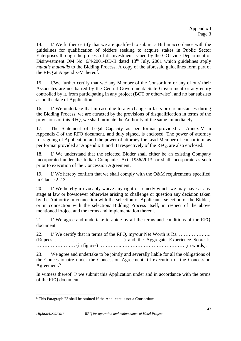14. I/ We further certify that we are qualified to submit a Bid in accordance with the guidelines for qualification of bidders seeking to acquire stakes in Public Sector Enterprises through the process of disinvestment issued by the GOI vide Department of Disinvestment OM No.  $6/4/2001$ -DD-II dated  $13<sup>th</sup>$  July, 2001 which guidelines apply *mutatis mutandis* to the Bidding Process. A copy of the aforesaid guidelines form part of the RFQ at Appendix-V thereof.

15. I/We further certify that we/ any Member of the Consortium or any of our/ their Associates are not barred by the Central Government/ State Government or any entity controlled by it, from participating in any project (BOT or otherwise), and no bar subsists as on the date of Application.

16. I/ We undertake that in case due to any change in facts or circumstances during the Bidding Process, we are attracted by the provisions of disqualification in terms of the provisions of this RFQ, we shall intimate the Authority of the same immediately.

17. The Statement of Legal Capacity as per format provided at Annex-V in Appendix-I of the RFQ document, and duly signed, is enclosed. The power of attorney for signing of Application and the power of attorney for Lead Member of consortium, as per format provided at Appendix II and III respectively of the RFQ, are also enclosed.

18. I/ We understand that the selected Bidder shall either be an existing Company incorporated under the Indian Companies Act, 1956/2013, or shall incorporate as such prior to execution of the Concession Agreement.

19. I/ We hereby confirm that we shall comply with the O&M requirements specified in Clause 2.2.3.

20. I/ We hereby irrevocably waive any right or remedy which we may have at any stage at law or howsoever otherwise arising to challenge or question any decision taken by the Authority in connection with the selection of Applicants, selection of the Bidder, or in connection with the selection/ Bidding Process itself, in respect of the above mentioned Project and the terms and implementation thereof.

21. I/ We agree and undertake to abide by all the terms and conditions of the RFQ document.

22. I/ We certify that in terms of the RFQ, my/our Net Worth is Rs. ……………….. (Rupees …………………………………….) and the Aggregate Experience Score is …………………… (in figures) …………..………………………………… (in words).

23. We agree and undertake to be jointly and severally liable for all the obligations of the Concessionaire under the Concession Agreement till execution of the Concession Agreement.\$

In witness thereof, I/ we submit this Application under and in accordance with the terms of the RFQ document.

 $\overline{a}$ 

<sup>\$</sup> This Paragraph 23 shall be omitted if the Applicant is not a Consortium.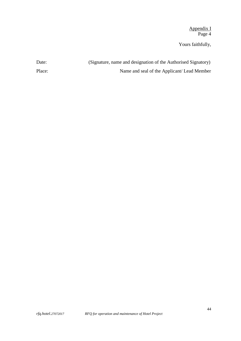Appendix I Page 4

Yours faithfully,

| Date:  | (Signature, name and designation of the Authorised Signatory) |
|--------|---------------------------------------------------------------|
| Place: | Name and seal of the Applicant/ Lead Member                   |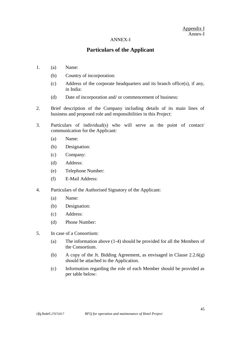#### Appendix I Annex-I

#### ANNEX-I

### **Particulars of the Applicant**

- 1. (a) Name:
	- (b) Country of incorporation:
	- (c) Address of the corporate headquarters and its branch office(s), if any, in India:
	- (d) Date of incorporation and/ or commencement of business:
- 2. Brief description of the Company including details of its main lines of business and proposed role and responsibilities in this Project:
- 3. Particulars of individual(s) who will serve as the point of contact/ communication for the Applicant:
	- (a) Name:
	- (b) Designation:
	- (c) Company:
	- (d) Address:
	- (e) Telephone Number:
	- (f) E-Mail Address:
- 4. Particulars of the Authorised Signatory of the Applicant:
	- (a) Name:
	- (b) Designation:
	- (c) Address:
	- (d) Phone Number:
- 5. In case of a Consortium:
	- (a) The information above (1-4) should be provided for all the Members of the Consortium.
	- (b) A copy of the Jt. Bidding Agreement, as envisaged in Clause 2.2.6(g) should be attached to the Application.
	- (c) Information regarding the role of each Member should be provided as per table below: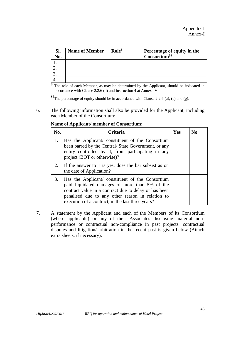| SI.<br>No. | <b>Name of Member</b> | $\text{Role}^{\$}$ | Percentage of equity in the<br>Consortium <sup>\$\$</sup> |
|------------|-----------------------|--------------------|-----------------------------------------------------------|
|            |                       |                    |                                                           |
|            |                       |                    |                                                           |
|            |                       |                    |                                                           |
|            |                       |                    |                                                           |

 $\overline{\$}$  The role of each Member, as may be determined by the Applicant, should be indicated in accordance with Clause 2.2.6 (d) and instruction 4 at Annex-IV.

 $$^{S\$}$ The percentage of equity should be in accordance with Clause 2.2.6 (a), (c) and (g).

6. The following information shall also be provided for the Applicant, including each Member of the Consortium:

| No. | <b>Criteria</b>                                                                                                                                                                                                                                                      | Yes | $\bf No$ |
|-----|----------------------------------------------------------------------------------------------------------------------------------------------------------------------------------------------------------------------------------------------------------------------|-----|----------|
| 1.  | Has the Applicant/ constituent of the Consortium<br>been barred by the Central/ State Government, or any<br>entity controlled by it, from participating in any<br>project (BOT or otherwise)?                                                                        |     |          |
| 2.  | If the answer to 1 is yes, does the bar subsist as on<br>the date of Application?                                                                                                                                                                                    |     |          |
| 3.  | Has the Applicant/ constituent of the Consortium<br>paid liquidated damages of more than 5% of the<br>contract value in a contract due to delay or has been<br>penalised due to any other reason in relation to<br>execution of a contract, in the last three years? |     |          |

**Name of Applicant/ member of Consortium:**

7. A statement by the Applicant and each of the Members of its Consortium (where applicable) or any of their Associates disclosing material nonperformance or contractual non-compliance in past projects, contractual disputes and litigation/ arbitration in the recent past is given below (Attach extra sheets, if necessary):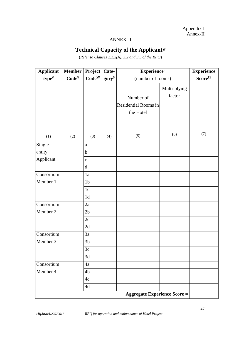Appendix I Annex-II

#### ANNEX-II

## **Technical Capacity of the Applicant@**

(*Refer to Clauses 2.2.2(A), 3.2 and 3.3 of the RFQ*)

| <b>Applicant</b> | <b>Member</b>     | Project            | Cate-              | Experience <sup><math>t</math></sup>                  | <b>Experience</b>       |     |
|------------------|-------------------|--------------------|--------------------|-------------------------------------------------------|-------------------------|-----|
| $type$ #         | Code <sup>Y</sup> | Code <sup>yy</sup> | gory <sup>\$</sup> | (number of rooms)                                     | $\bf Score^{\text{ff}}$ |     |
|                  |                   |                    |                    | Number of<br><b>Residential Rooms in</b><br>the Hotel | Multi-plying<br>factor  |     |
| (1)              | (2)               | (3)                | (4)                | (5)                                                   | (6)                     | (7) |
| Single           |                   | $\rm{a}$           |                    |                                                       |                         |     |
| entity           |                   | $\mathbf b$        |                    |                                                       |                         |     |
| Applicant        |                   | $\mathbf{C}$       |                    |                                                       |                         |     |
|                  |                   | $\mathbf d$        |                    |                                                       |                         |     |
| Consortium       |                   | 1a                 |                    |                                                       |                         |     |
| Member 1         |                   | 1 <sub>b</sub>     |                    |                                                       |                         |     |
|                  |                   | 1c                 |                    |                                                       |                         |     |
|                  |                   | 1 <sub>d</sub>     |                    |                                                       |                         |     |
| Consortium       |                   | 2a                 |                    |                                                       |                         |     |
| Member 2         |                   | 2 <sub>b</sub>     |                    |                                                       |                         |     |
|                  |                   | 2c                 |                    |                                                       |                         |     |
|                  |                   | 2d                 |                    |                                                       |                         |     |
| Consortium       |                   | 3a                 |                    |                                                       |                         |     |
| Member 3         |                   | 3 <sub>b</sub>     |                    |                                                       |                         |     |
|                  |                   | 3c                 |                    |                                                       |                         |     |
|                  |                   | 3d                 |                    |                                                       |                         |     |
| Consortium       |                   | 4a                 |                    |                                                       |                         |     |
| Member 4         |                   | 4b                 |                    |                                                       |                         |     |
|                  |                   | 4c                 |                    |                                                       |                         |     |
|                  |                   | 4d                 |                    | <b>Aggregate Experience Score =</b>                   |                         |     |
|                  |                   |                    |                    |                                                       |                         |     |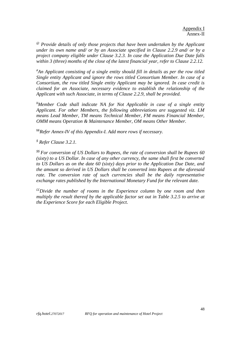*@ Provide details of only those projects that have been undertaken by the Applicant under its own name and/ or by an Associate specified in Clause 2.2.9 and/ or by a project company eligible under Clause 3.2.3. In case the Application Due Date falls within 3 (three) months of the close of the latest financial year, refer to Clause 2.2.12.*

*#An Applicant consisting of a single entity should fill in details as per the row titled Single entity Applicant and ignore the rows titled Consortium Member. In case of a Consortium, the row titled Single entity Applicant may be ignored. In case credit is claimed for an Associate, necessary evidence to establish the relationship of the Applicant with such Associate, in terms of Clause 2.2.9, shall be provided.*

*¥Member Code shall indicate NA for Not Applicable in case of a single entity Applicant. For other Members, the following abbreviations are suggested viz. LM means Lead Member, TM means Technical Member, FM means Financial Member, OMM means Operation & Maintenance Member, OM means Other Member.* 

¥¥*Refer Annex-IV of this Appendix-I. Add more rows if necessary.* 

*\$ Refer Clause 3.2.1.*

*\$\$ For conversion of US Dollars to Rupees, the rate of conversion shall be Rupees 60 (sixty) to a US Dollar. In case of any other currency, the same shall first be converted to US Dollars as on the date 60 (sixty) days prior to the Application Due Date, and the amount so derived in US Dollars shall be converted into Rupees at the aforesaid rate. The conversion rate of such currencies shall be the daily representative exchange rates published by the International Monetary Fund for the relevant date.*

*££Divide the number of rooms in the Experience column by one room and then multiply the result thereof by the applicable factor set out in Table 3.2.5 to arrive at the Experience Score for each Eligible Project.*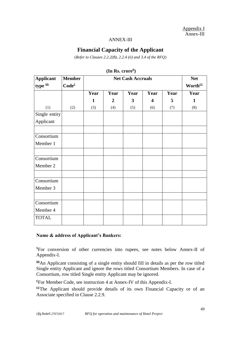Appendix I Annex-III

#### ANNEX-III

#### **Financial Capacity of the Applicant**

(*Refer to Clauses 2.2.2(B), 2.2.4 (ii) and 3.4 of the RFQ*)

| <b>Applicant</b>                       | <b>Member</b>     | <b>Net Cash Accruals</b> |                  |              |                         |      |      |  |  |  |  |  |  |  |
|----------------------------------------|-------------------|--------------------------|------------------|--------------|-------------------------|------|------|--|--|--|--|--|--|--|
| type \$\$                              | Code <sup>f</sup> |                          |                  |              |                         |      |      |  |  |  |  |  |  |  |
|                                        |                   | Year                     | Year             | Year         | Year                    | Year | Year |  |  |  |  |  |  |  |
|                                        |                   | 1                        | $\boldsymbol{2}$ | $\mathbf{3}$ | $\overline{\mathbf{4}}$ | 5    | 1    |  |  |  |  |  |  |  |
| (1)                                    | (2)               | (3)                      | (4)              | (5)          | (6)                     | (7)  | (8)  |  |  |  |  |  |  |  |
| Single entity                          |                   |                          |                  |              |                         |      |      |  |  |  |  |  |  |  |
| Applicant                              |                   |                          |                  |              |                         |      |      |  |  |  |  |  |  |  |
| Consortium<br>Member 1                 |                   |                          |                  |              |                         |      |      |  |  |  |  |  |  |  |
| Consortium<br>Member 2                 |                   |                          |                  |              |                         |      |      |  |  |  |  |  |  |  |
| Consortium<br>Member 3                 |                   |                          |                  |              |                         |      |      |  |  |  |  |  |  |  |
| Consortium<br>Member 4<br><b>TOTAL</b> |                   |                          |                  |              |                         |      |      |  |  |  |  |  |  |  |

**(In Rs. crore\$ )**

#### **Name & address of Applicant's Bankers:**

\$For conversion of other currencies into rupees, see notes below Annex-II of Appendix-I.

**\$\$**An Applicant consisting of a single entity should fill in details as per the row titled Single entity Applicant and ignore the rows titled Consortium Members. In case of a Consortium, row titled Single entity Applicant may be ignored.

**£**For Member Code, see instruction 4 at Annex-IV of this Appendix-I.

**££**The Applicant should provide details of its own Financial Capacity or of an Associate specified in Clause 2.2.9.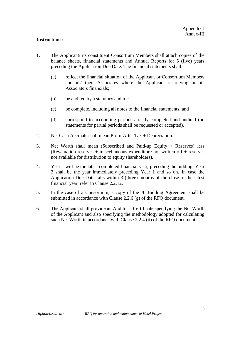#### **Instructions:**

- 1. The Applicant/ its constituent Consortium Members shall attach copies of the balance sheets, financial statements and Annual Reports for 5 (five) years preceding the Application Due Date. The financial statements shall:
	- (a) reflect the financial situation of the Applicant or Consortium Members and its/ their Associates where the Applicant is relying on its Associate's financials;
	- (b) be audited by a statutory auditor;
	- (c) be complete, including all notes to the financial statements; and
	- (d) correspond to accounting periods already completed and audited (no statements for partial periods shall be requested or accepted).
- 2. Net Cash Accruals shall mean Profit After Tax + Depreciation.
- 3. Net Worth shall mean (Subscribed and Paid-up Equity + Reserves) less (Revaluation reserves + miscellaneous expenditure not written off + reserves not available for distribution to equity shareholders).
- 4. Year 1 will be the latest completed financial year, preceding the bidding. Year 2 shall be the year immediately preceding Year 1 and so on. In case the Application Due Date falls within 3 (three) months of the close of the latest financial year, refer to Clause 2.2.12.
- 5. In the case of a Consortium, a copy of the Jt. Bidding Agreement shall be submitted in accordance with Clause 2.2.6 (g) of the RFQ document.
- 6. The Applicant shall provide an Auditor's Certificate specifying the Net Worth of the Applicant and also specifying the methodology adopted for calculating such Net Worth in accordance with Clause 2.2.4 (ii) of the RFQ document.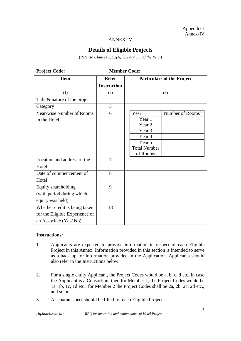Appendix I Annex-IV

#### ANNEX-IV

### **Details of Eligible Projects**

(*Refer to Clauses 2.2.2(A), 3.2 and 3.3 of the RFQ*)

| <b>Project Code:</b>             | <b>Member Code:</b> |                                       |  |  |  |  |  |  |  |
|----------------------------------|---------------------|---------------------------------------|--|--|--|--|--|--|--|
| <b>Item</b>                      | <b>Refer</b>        | <b>Particulars of the Project</b>     |  |  |  |  |  |  |  |
|                                  | <b>Instruction</b>  |                                       |  |  |  |  |  |  |  |
| (1)                              | (2)                 | (3)                                   |  |  |  |  |  |  |  |
| Title $\&$ nature of the project |                     |                                       |  |  |  |  |  |  |  |
| Category                         | 5                   |                                       |  |  |  |  |  |  |  |
| <b>Year-wise Number of Rooms</b> | 6                   | Number of Rooms <sup>\$</sup><br>Year |  |  |  |  |  |  |  |
| in the Hotel                     |                     | Year 1                                |  |  |  |  |  |  |  |
|                                  |                     | Year 2                                |  |  |  |  |  |  |  |
|                                  |                     | Year 3                                |  |  |  |  |  |  |  |
|                                  |                     | Year 4                                |  |  |  |  |  |  |  |
|                                  |                     | Year 5                                |  |  |  |  |  |  |  |
|                                  |                     | <b>Total Number</b>                   |  |  |  |  |  |  |  |
|                                  |                     | of Rooms                              |  |  |  |  |  |  |  |
| Location and address of the      | $\overline{7}$      |                                       |  |  |  |  |  |  |  |
| Hotel                            |                     |                                       |  |  |  |  |  |  |  |
| Date of commencement of          | 8                   |                                       |  |  |  |  |  |  |  |
| Hotel                            |                     |                                       |  |  |  |  |  |  |  |
| Equity shareholding              | 9                   |                                       |  |  |  |  |  |  |  |
| (with period during which        |                     |                                       |  |  |  |  |  |  |  |
| equity was held)                 |                     |                                       |  |  |  |  |  |  |  |
| Whether credit is being taken    | 13                  |                                       |  |  |  |  |  |  |  |
| for the Eligible Experience of   |                     |                                       |  |  |  |  |  |  |  |
| an Associate (Yes/No)            |                     |                                       |  |  |  |  |  |  |  |

#### **Instructions:**

- 1. Applicants are expected to provide information in respect of each Eligible Project in this Annex. Information provided in this section is intended to serve as a back up for information provided in the Application. Applicants should also refer to the Instructions below.
- 2. For a single entity Applicant, the Project Codes would be a, b, c, d etc. In case the Applicant is a Consortium then for Member 1, the Project Codes would be 1a, 1b, 1c, 1d etc., for Member 2 the Project Codes shall be 2a, 2b, 2c, 2d etc., and so on.
- 3. A separate sheet should be filled for each Eligible Project.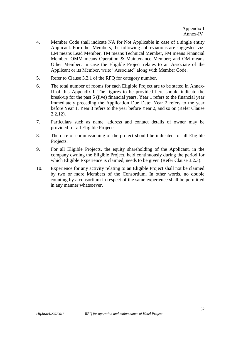- 4. Member Code shall indicate NA for Not Applicable in case of a single entity Applicant. For other Members, the following abbreviations are suggested viz. LM means Lead Member, TM means Technical Member, FM means Financial Member, OMM means Operation & Maintenance Member; and OM means Other Member. In case the Eligible Project relates to an Associate of the Applicant or its Member, write "Associate" along with Member Code.
- 5. Refer to Clause 3.2.1 of the RFQ for category number.
- 6. The total number of rooms for each Eligible Project are to be stated in Annex-II of this Appendix-I. The figures to be provided here should indicate the break-up for the past 5 (five) financial years. Year 1 refers to the financial year immediately preceding the Application Due Date; Year 2 refers to the year before Year 1, Year 3 refers to the year before Year 2, and so on (Refer Clause 2.2.12).
- 7. Particulars such as name, address and contact details of owner may be provided for all Eligible Projects.
- 8. The date of commissioning of the project should be indicated for all Eligible Projects.
- 9. For all Eligible Projects, the equity shareholding of the Applicant, in the company owning the Eligible Project, held continuously during the period for which Eligible Experience is claimed, needs to be given (Refer Clause 3.2.3).
- 10. Experience for any activity relating to an Eligible Project shall not be claimed by two or more Members of the Consortium. In other words, no double counting by a consortium in respect of the same experience shall be permitted in any manner whatsoever.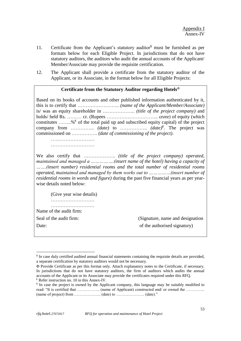- 11. Certificate from the Applicant's statutory auditor<sup>\$</sup> must be furnished as per formats below for each Eligible Project. In jurisdictions that do not have statutory auditors, the auditors who audit the annual accounts of the Applicant/ Member/Associate may provide the requisite certification.
- 12. The Applicant shall provide a certificate from the statutory auditor of the Applicant, or its Associate, in the format below for all Eligible Projects:

#### **Certificate from the Statutory Auditor regarding Hotels**

Based on its books of accounts and other published information authenticated by it, this is to certify that …………………….. *(name of the Applicant/Member/Associate)*  is/ was an equity shareholder in ……………….. *(title of the project company)* and holds/ held Rs. ……….. cr. (Rupees ……………………………………….. crore) of equity (which constitutes ........%  $\epsilon$  of the total paid up and subscribed equity capital) of the project company from ................ *(date)* to ................. *(date)<sup>¥</sup>*. The project was commissioned on ……………. *(date of commissioning of the project)*.

……………………… ………………………

We also certify that ……………….. *(title of the project company) operated, maintained and managed a …………….(insert name of the hotel) having a capacity of …….(insert number) residential rooms and the total number of residential rooms operated, maintained and managed by them works out to ……………(insert number of residential rooms in words and figure)* during the past five financial years as per yearwise details noted below:

(Give year wise details)

………………………

……………………… Name of the audit firm:

Seal of the audit firm: (Signature, name and designation) Date: of the authorised signatory)

 $\overline{a}$ <sup>§</sup> In case duly certified audited annual financial statements containing the requisite details are provided, a separate certification by statutory auditors would not be necessary.

Provide Certificate as per this format only. Attach explanatory notes to the Certificate, if necessary. In jurisdictions that do not have statutory auditors, the firm of auditors which audits the annual accounts of the Applicant or its Associate may provide the certificates required under this RFQ.  $\epsilon$  Refer instruction no. 10 in this Annex-IV.

<sup>¥</sup> In case the project is owned by the Applicant company, this language may be suitably modified to read: "It is certified that …………….. (name of Applicant) constructed and/ or owned the ………….. (name of project) from  $\ldots$   $\ldots$   $\ldots$   $\ldots$   $\ldots$   $\ldots$   $\ldots$   $\ldots$   $\ldots$   $\ldots$   $\ldots$   $\ldots$   $\ldots$   $\ldots$   $\ldots$   $\ldots$   $\ldots$   $\ldots$   $\ldots$   $\ldots$   $\ldots$   $\ldots$   $\ldots$   $\ldots$   $\ldots$   $\ldots$   $\ldots$   $\ldots$   $\ldots$   $\ldots$   $\ldots$   $\ldots$   $\ldots$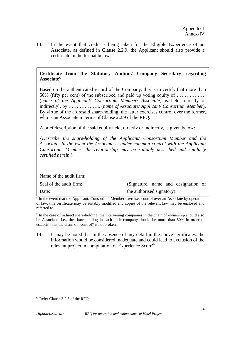13. In the event that credit is being taken for the Eligible Experience of an Associate, as defined in Clause 2.2.9, the Applicant should also provide a certificate in the format below:

#### **Certificate from the Statutory Auditor/ Company Secretary regarding Associate\$**

Based on the authenticated record of the Company, this is to certify that more than 50% (fifty per cent) of the subscribed and paid up voting equity of ……………… (*name of the Applicant/ Consortium Member/ Associate*) is held, directly or indirectly£ , by ……………….. (*name of Associate/ Applicant/ Consortium Member*). By virtue of the aforesaid share-holding, the latter exercises control over the former, who is an Associate in terms of Clause 2.2.9 of the RFQ.

A brief description of the said equity held, directly or indirectly, is given below:

{*Describe the share-holding of the Applicant/ Consortium Member and the Associate. In the event the Associate is under common control with the Applicant/ Consortium Member, the relationship may be suitably described and similarly certified herein.*}

Name of the audit firm:

| Seal of the audit firm: | (Signature, name and designation of |
|-------------------------|-------------------------------------|
| Date:                   | the authorised signatory).          |

\$ In the event that the Applicant/ Consortium Member exercises control over an Associate by operation of law, this certificate may be suitably modified and copies of the relevant law may be enclosed and referred to.

 $f$  In the case of indirect share-holding, the intervening companies in the chain of ownership should also be Associates i.e., the share-holding in each such company should be more than 50% in order to establish that the chain of "control" is not broken.

14. It may be noted that in the absence of any detail in the above certificates, the information would be considered inadequate and could lead to exclusion of the relevant project in computation of Experience Score<sup> $\Theta$ </sup>.

 $\overline{a}$ 

<sup>&</sup>lt;sup> $\Theta$ </sup> Refer Clause 3.2.5 of the RFQ.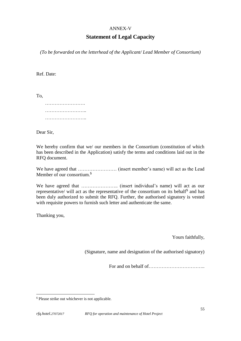#### ANNEX-V

#### **Statement of Legal Capacity**

*(To be forwarded on the letterhead of the Applicant/ Lead Member of Consortium)*

Ref. Date:

To,

|  |   |  | . |  |  |  |  |  |  |  | . |  |  |
|--|---|--|---|--|--|--|--|--|--|--|---|--|--|
|  | . |  |   |  |  |  |  |  |  |  |   |  |  |

Dear Sir,

We hereby confirm that we/ our members in the Consortium (constitution of which has been described in the Application) satisfy the terms and conditions laid out in the RFQ document.

We have agreed that …………………… (insert member's name) will act as the Lead Member of our consortium. \$

We have agreed that ………………….. (insert individual's name) will act as our representative/ will act as the representative of the consortium on its behalf<sup>\$</sup> and has been duly authorized to submit the RFQ. Further, the authorised signatory is vested with requisite powers to furnish such letter and authenticate the same.

Thanking you,

Yours faithfully,

(Signature, name and designation of the authorised signatory)

For and on behalf of……………………………..

 $\overline{a}$ 

<sup>\$</sup> Please strike out whichever is not applicable*.*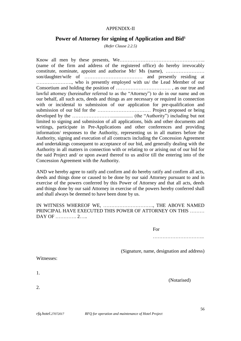#### APPENDIX-II

#### **Power of Attorney for signing of Application and Bid<sup>§</sup>**

*(Refer Clause 2.2.5)*

Know all men by these presents, We…………………………………………….. (name of the firm and address of the registered office) do hereby irrevocably constitute, nominate, appoint and authorise Mr/ Ms (name), …………………… son/daughter/wife of ……………………………… and presently residing at …………………., who is presently employed with us/ the Lead Member of our Consortium and holding the position of ……………………………. , as our true and lawful attorney (hereinafter referred to as the "Attorney") to do in our name and on our behalf, all such acts, deeds and things as are necessary or required in connection with or incidental to submission of our application for pre-qualification and submission of our bid for the …………………………… Project proposed or being developed by the …………………….................. (the "Authority") including but not limited to signing and submission of all applications, bids and other documents and writings, participate in Pre-Applications and other conferences and providing information/ responses to the Authority, representing us in all matters before the Authority, signing and execution of all contracts including the Concession Agreement and undertakings consequent to acceptance of our bid, and generally dealing with the Authority in all matters in connection with or relating to or arising out of our bid for the said Project and/ or upon award thereof to us and/or till the entering into of the Concession Agreement with the Authority.

AND we hereby agree to ratify and confirm and do hereby ratify and confirm all acts, deeds and things done or caused to be done by our said Attorney pursuant to and in exercise of the powers conferred by this Power of Attorney and that all acts, deeds and things done by our said Attorney in exercise of the powers hereby conferred shall and shall always be deemed to have been done by us.

IN WITNESS WHEREOF WE, …………………………., THE ABOVE NAMED PRINCIPAL HAVE EXECUTED THIS POWER OF ATTORNEY ON THIS ……… DAY OF …………. 2…..

For

…………………………..

(Signature, name, designation and address)

Witnesses:

1.

(Notarised)

2.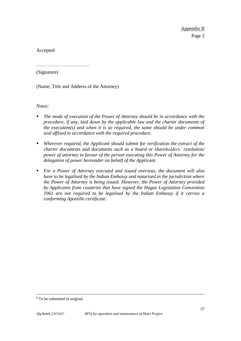Accepted

……………………………

(Signature)

(Name, Title and Address of the Attorney)

*Notes:* 

- The mode of execution of the Power of Attorney should be in accordance with the *procedure, if any, laid down by the applicable law and the charter documents of the executant(s) and when it is so required, the same should be under common seal affixed in accordance with the required procedure*.
- *Wherever required, the Applicant should submit for verification the extract of the charter documents and documents such as a board or shareholders' resolution/ power of attorney in favour of the person executing this Power of Attorney for the delegation of power hereunder on behalf of the Applicant.*
- *For a Power of Attorney executed and issued overseas, the document will also have to be legalised by the Indian Embassy and notarised in the jurisdiction where the Power of Attorney is being issued. However, the Power of Attorney provided by Applicants from countries that have signed the Hague Legislation Convention 1961 are not required to be legalised by the Indian Embassy if it carries a conforming Apostille certificate.*

 $\overline{a}$ 

<sup>\$</sup> To be submitted in original.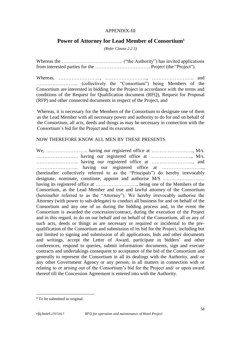#### APPENDIX-III

### **Power of Attorney for Lead Member of Consortium**\$

*(Refer Clause 2.2.5)*

Whereas the ……………………………….. ("the Authority") has invited applications from interested parties for the ……………………………. Project (the "Project").

Whereas, …………………….., …………………….., …………………….. and …………………….. (collectively the "Consortium") being Members of the Consortium are interested in bidding for the Project in accordance with the terms and conditions of the Request for Qualification document (RFQ), Request for Proposal (RFP) and other connected documents in respect of the Project, and

Whereas, it is necessary for the Members of the Consortium to designate one of them as the Lead Member with all necessary power and authority to do for and on behalf of the Consortium, all acts, deeds and things as may be necessary in connection with the Consortium's bid for the Project and its execution.

#### NOW THEREFORE KNOW ALL MEN BY THESE PRESENTS

We, …………………….. having our registered office at …………………….., M/s. …………………….. having our registered office at …………………….., M/s. …………………….. having our registered office at …………………….., and …………………….. having our registered office at …………………….., (hereinafter collectively referred to as the "Principals") do hereby irrevocably designate, nominate, constitute, appoint and authorise M/S …………………….. having its registered office at …………………….., being one of the Members of the Consortium, as the Lead Member and true and lawful attorney of the Consortium (hereinafter referred to as the "Attorney"). We hereby irrevocably authorise the Attorney (with power to sub-delegate) to conduct all business for and on behalf of the Consortium and any one of us during the bidding process and, in the event the Consortium is awarded the concession/contract, during the execution of the Project and in this regard, to do on our behalf and on behalf of the Consortium, all or any of such acts, deeds or things as are necessary or required or incidental to the prequalification of the Consortium and submission of its bid for the Project, including but not limited to signing and submission of all applications, bids and other documents and writings, accept the Letter of Award, participate in bidders' and other conferences, respond to queries, submit information/ documents, sign and execute contracts and undertakings consequent to acceptance of the bid of the Consortium and generally to represent the Consortium in all its dealings with the Authority, and/ or any other Government Agency or any person, in all matters in connection with or relating to or arising out of the Consortium's bid for the Project and/ or upon award thereof till the Concession Agreement is entered into with the Authority.

 $\overline{a}$ 

<sup>\$</sup> To be submitted in original.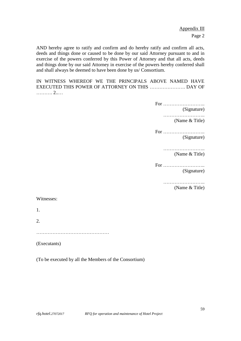AND hereby agree to ratify and confirm and do hereby ratify and confirm all acts, deeds and things done or caused to be done by our said Attorney pursuant to and in exercise of the powers conferred by this Power of Attorney and that all acts, deeds and things done by our said Attorney in exercise of the powers hereby conferred shall and shall always be deemed to have been done by us/ Consortium.

IN WITNESS WHEREOF WE THE PRINCIPALS ABOVE NAMED HAVE EXECUTED THIS POWER OF ATTORNEY ON THIS …………………. DAY OF ………. 2..…

For ……………………..

(Signature)

……………………… (Name & Title)

For …………………….. (Signature)

> ………………………… (Name & Title)

For …………………….. (Signature)

> ………………………… (Name & Title)

Witnesses:

1.

2.

………………………………………

(Executants)

(To be executed by all the Members of the Consortium)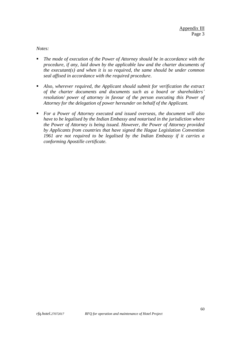*Notes:*

- The mode of execution of the Power of Attorney should be in accordance with the *procedure, if any, laid down by the applicable law and the charter documents of the executant(s) and when it is so required, the same should be under common seal affixed in accordance with the required procedure*.
- *Also, wherever required, the Applicant should submit for verification the extract of the charter documents and documents such as a board or shareholders' resolution/ power of attorney in favour of the person executing this Power of Attorney for the delegation of power hereunder on behalf of the Applicant.*
- *For a Power of Attorney executed and issued overseas, the document will also have to be legalised by the Indian Embassy and notarised in the jurisdiction where the Power of Attorney is being issued. However, the Power of Attorney provided by Applicants from countries that have signed the Hague Legislation Convention 1961 are not required to be legalised by the Indian Embassy if it carries a conforming Apostille certificate.*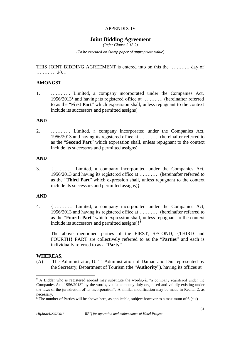#### APPENDIX-IV

#### **Joint Bidding Agreement**

*(Refer Clause 2.13.2)*

*(To be executed on Stamp paper of appropriate value)*

THIS JOINT BIDDING AGREEMENT is entered into on this the ………… day of ………… 20…

#### **AMONGST**

1. ………… Limited, a company incorporated under the Companies Act, 1956/2013¥ and having its registered office at ………… (hereinafter referred to as the "**First Part**" which expression shall, unless repugnant to the context include its successors and permitted assigns)

#### **AND**

2. ………… Limited, a company incorporated under the Companies Act, 1956/2013 and having its registered office at ………… (hereinafter referred to as the "**Second Part**" which expression shall, unless repugnant to the context include its successors and permitted assigns)

#### **AND**

3. {………… Limited, a company incorporated under the Companies Act, 1956/2013 and having its registered office at ………… (hereinafter referred to as the "**Third Part**" which expression shall, unless repugnant to the context include its successors and permitted assigns)}

#### **AND**

4. {………… Limited, a company incorporated under the Companies Act, 1956/2013 and having its registered office at ………… (hereinafter referred to as the "**Fourth Part**" which expression shall, unless repugnant to the context include its successors and permitted assigns)} \$

The above mentioned parties of the FIRST, SECOND, {THIRD and FOURTH} PART are collectively referred to as the "**Parties**" and each is individually referred to as a "**Party**"

#### **WHEREAS**,

 $\overline{a}$ 

(A) The Administrator, U. T. Administration of Daman and Diu represented by the Secretary, Department of Tourism (the "**Authority**"), having its offices at

 $*$  A Bidder who is registered abroad may substitute the words, viz "a company registered under the Companies Act, 1956/2013" by the words, viz "a company duly organised and validly existing under the laws of the jurisdiction of its incorporation". A similar modification may be made in Recital 2, as necessary.

<sup>\$</sup> The number of Parties will be shown here, as applicable, subject however to a maximum of 6 (six).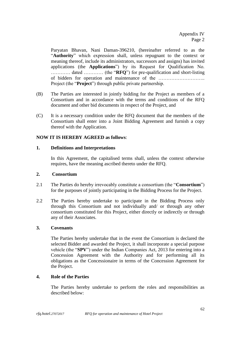Paryatan Bhavan, Nani Daman-396210, (hereinafter referred to as the "**Authority**" which expression shall, unless repugnant to the context or meaning thereof, include its administrators, successors and assigns) has invited applications (the **Applications**") by its Request for Qualification No. ………… dated ………… (the "**RFQ**") for pre-qualification and short-listing of bidders for operation and maintenance of the ……………………….. Project (the "**Project**") through public private partnership.

- (B) The Parties are interested in jointly bidding for the Project as members of a Consortium and in accordance with the terms and conditions of the RFQ document and other bid documents in respect of the Project, and
- (C) It is a necessary condition under the RFQ document that the members of the Consortium shall enter into a Joint Bidding Agreement and furnish a copy thereof with the Application.

#### **NOW IT IS HEREBY AGREED as follows**:

#### **1. Definitions and Interpretations**

In this Agreement, the capitalised terms shall, unless the context otherwise requires, have the meaning ascribed thereto under the RFQ.

#### **2. Consortium**

- 2.1 The Parties do hereby irrevocably constitute a consortium (the "**Consortium**") for the purposes of jointly participating in the Bidding Process for the Project.
- 2.2 The Parties hereby undertake to participate in the Bidding Process only through this Consortium and not individually and/ or through any other consortium constituted for this Project, either directly or indirectly or through any of their Associates.

#### **3. Covenants**

The Parties hereby undertake that in the event the Consortium is declared the selected Bidder and awarded the Project, it shall incorporate a special purpose vehicle (the "**SPV**") under the Indian Companies Act, 2013 for entering into a Concession Agreement with the Authority and for performing all its obligations as the Concessionaire in terms of the Concession Agreement for the Project.

#### **4. Role of the Parties**

The Parties hereby undertake to perform the roles and responsibilities as described below: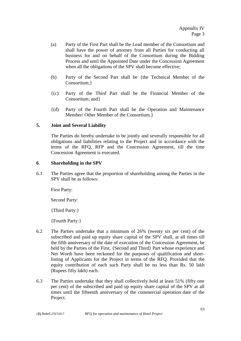- (a) Party of the First Part shall be the Lead member of the Consortium and shall have the power of attorney from all Parties for conducting all business for and on behalf of the Consortium during the Bidding Process and until the Appointed Date under the Concession Agreement when all the obligations of the SPV shall become effective;
- (b) Party of the Second Part shall be {the Technical Member of the Consortium;}
- {(c) Party of the Third Part shall be the Financial Member of the Consortium; and}
- {(d) Party of the Fourth Part shall be the Operation and Maintenance Member/ Other Member of the Consortium.}

#### **5. Joint and Several Liability**

The Parties do hereby undertake to be jointly and severally responsible for all obligations and liabilities relating to the Project and in accordance with the terms of the RFQ, RFP and the Concession Agreement, till the time Concession Agreement is executed.

#### **6**. **Shareholding in the SPV**

6.1 The Parties agree that the proportion of shareholding among the Parties in the SPV shall be as follows:

First Party:

Second Party:

{Third Party:}

{Fourth Party:}

- 6.2 The Parties undertake that a minimum of 26% (twenty six per cent) of the subscribed and paid up equity share capital of the SPV shall, at all times till the fifth anniversary of the date of execution of the Concession Agreement, be held by the Parties of the First, {Second and Third} Part whose experience and Net Worth have been reckoned for the purposes of qualification and shortlisting of Applicants for the Project in terms of the RFQ. Provided that the equity contribution of each such Party shall be no less than Rs. 50 lakh (Rupees fifty lakh) each.
- 6.3 The Parties undertake that they shall collectively hold at least 51% (fifty one per cent) of the subscribed and paid up equity share capital of the SPV at all times until the fifteenth anniversary of the commercial operation date of the Project.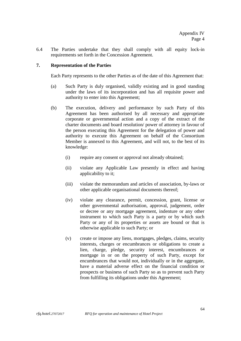6.4 The Parties undertake that they shall comply with all equity lock-in requirements set forth in the Concession Agreement.

#### **7. Representation of the Parties**

Each Party represents to the other Parties as of the date of this Agreement that:

- (a) Such Party is duly organised, validly existing and in good standing under the laws of its incorporation and has all requisite power and authority to enter into this Agreement;
- (b) The execution, delivery and performance by such Party of this Agreement has been authorised by all necessary and appropriate corporate or governmental action and a copy of the extract of the charter documents and board resolution/ power of attorney in favour of the person executing this Agreement for the delegation of power and authority to execute this Agreement on behalf of the Consortium Member is annexed to this Agreement, and will not, to the best of its knowledge:
	- (i) require any consent or approval not already obtained;
	- (ii) violate any Applicable Law presently in effect and having applicability to it;
	- (iii) violate the memorandum and articles of association, by-laws or other applicable organisational documents thereof;
	- (iv) violate any clearance, permit, concession, grant, license or other governmental authorisation, approval, judgement, order or decree or any mortgage agreement, indenture or any other instrument to which such Party is a party or by which such Party or any of its properties or assets are bound or that is otherwise applicable to such Party; or
	- (v) create or impose any liens, mortgages, pledges, claims, security interests, charges or encumbrances or obligations to create a lien, charge, pledge, security interest, encumbrances or mortgage in or on the property of such Party, except for encumbrances that would not, individually or in the aggregate, have a material adverse effect on the financial condition or prospects or business of such Party so as to prevent such Party from fulfilling its obligations under this Agreement;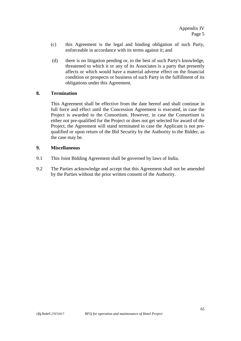- (c) this Agreement is the legal and binding obligation of such Party, enforceable in accordance with its terms against it; and
- (d) there is no litigation pending or, to the best of such Party's knowledge, threatened to which it or any of its Associates is a party that presently affects or which would have a material adverse effect on the financial condition or prospects or business of such Party in the fulfillment of its obligations under this Agreement.

#### **8. Termination**

This Agreement shall be effective from the date hereof and shall continue in full force and effect until the Concession Agreement is executed, in case the Project is awarded to the Consortium. However, in case the Consortium is either not pre-qualified for the Project or does not get selected for award of the Project, the Agreement will stand terminated in case the Applicant is not prequalified or upon return of the Bid Security by the Authority to the Bidder, as the case may be.

#### **9. Miscellaneous**

- 9.1 This Joint Bidding Agreement shall be governed by laws of India.
- 9.2 The Parties acknowledge and accept that this Agreement shall not be amended by the Parties without the prior written consent of the Authority.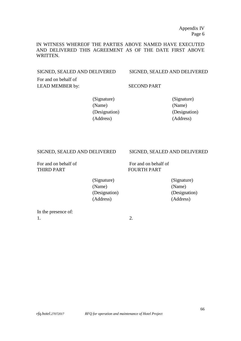IN WITNESS WHEREOF THE PARTIES ABOVE NAMED HAVE EXECUTED AND DELIVERED THIS AGREEMENT AS OF THE DATE FIRST ABOVE WRITTEN.

SIGNED, SEALED AND DELIVERED SIGNED, SEALED AND DELIVERED

For and on behalf of LEAD MEMBER by: SECOND PART

(Signature) (Signature) (Name) (Name) (Designation) (Designation) (Address) (Address)

#### SIGNED, SEALED AND DELIVERED SIGNED, SEALED AND DELIVERED

THIRD PART FOURTH PART

For and on behalf of For and on behalf of

(Signature) (Signature) (Name) (Name) (Designation) (Designation) (Address) (Address)

In the presence of:

1. 2.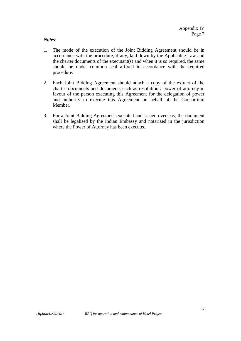#### *Notes*:

- 1. The mode of the execution of the Joint Bidding Agreement should be in accordance with the procedure, if any, laid down by the Applicable Law and the charter documents of the executant(s) and when it is so required, the same should be under common seal affixed in accordance with the required procedure.
- 2. Each Joint Bidding Agreement should attach a copy of the extract of the charter documents and documents such as resolution / power of attorney in favour of the person executing this Agreement for the delegation of power and authority to execute this Agreement on behalf of the Consortium Member.
- 3. For a Joint Bidding Agreement executed and issued overseas, the document shall be legalised by the Indian Embassy and notarized in the jurisdiction where the Power of Attorney has been executed.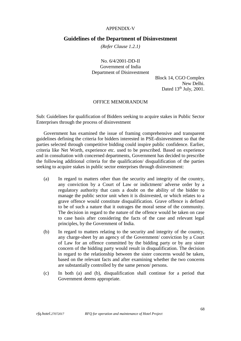#### APPENDIX-V

#### **Guidelines of the Department of Disinvestment**

*(Refer Clause 1.2.1)*

No. 6/4/2001-DD-II Government of India Department of Disinvestment

> Block 14, CGO Complex New Delhi. Dated  $13<sup>th</sup>$  July, 2001.

#### OFFICE MEMORANDUM

Sub: Guidelines for qualification of Bidders seeking to acquire stakes in Public Sector Enterprises through the process of disinvestment

Government has examined the issue of framing comprehensive and transparent guidelines defining the criteria for bidders interested in PSE-disinvestment so that the parties selected through competitive bidding could inspire public confidence. Earlier, criteria like Net Worth, experience etc. used to be prescribed. Based on experience and in consultation with concerned departments, Government has decided to prescribe the following additional criteria for the qualification/ disqualification of the parties seeking to acquire stakes in public sector enterprises through disinvestment:

- (a) In regard to matters other than the security and integrity of the country, any conviction by a Court of Law or indictment/ adverse order by a regulatory authority that casts a doubt on the ability of the bidder to manage the public sector unit when it is disinvested, or which relates to a grave offence would constitute disqualification. Grave offence is defined to be of such a nature that it outrages the moral sense of the community. The decision in regard to the nature of the offence would be taken on case to case basis after considering the facts of the case and relevant legal principles, by the Government of India.
- (b) In regard to matters relating to the security and integrity of the country, any charge-sheet by an agency of the Government/ conviction by a Court of Law for an offence committed by the bidding party or by any sister concern of the bidding party would result in disqualification. The decision in regard to the relationship between the sister concerns would be taken, based on the relevant facts and after examining whether the two concerns are substantially controlled by the same person/ persons.
- (c) In both (a) and (b), disqualification shall continue for a period that Government deems appropriate.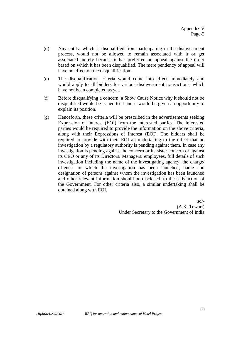- (d) Any entity, which is disqualified from participating in the disinvestment process, would not be allowed to remain associated with it or get associated merely because it has preferred an appeal against the order based on which it has been disqualified. The mere pendency of appeal will have no effect on the disqualification.
- (e) The disqualification criteria would come into effect immediately and would apply to all bidders for various disinvestment transactions, which have not been completed as yet.
- (f) Before disqualifying a concern, a Show Cause Notice why it should not be disqualified would be issued to it and it would be given an opportunity to explain its position.
- (g) Henceforth, these criteria will be prescribed in the advertisements seeking Expression of Interest (EOI) from the interested parties. The interested parties would be required to provide the information on the above criteria, along with their Expressions of Interest (EOI). The bidders shall be required to provide with their EOI an undertaking to the effect that no investigation by a regulatory authority is pending against them. In case any investigation is pending against the concern or its sister concern or against its CEO or any of its Directors/ Managers/ employees, full details of such investigation including the name of the investigating agency, the charge/ offence for which the investigation has been launched, name and designation of persons against whom the investigation has been launched and other relevant information should be disclosed, to the satisfaction of the Government. For other criteria also, a similar undertaking shall be obtained along with EOI.

sd/- (A.K. Tewari) Under Secretary to the Government of India